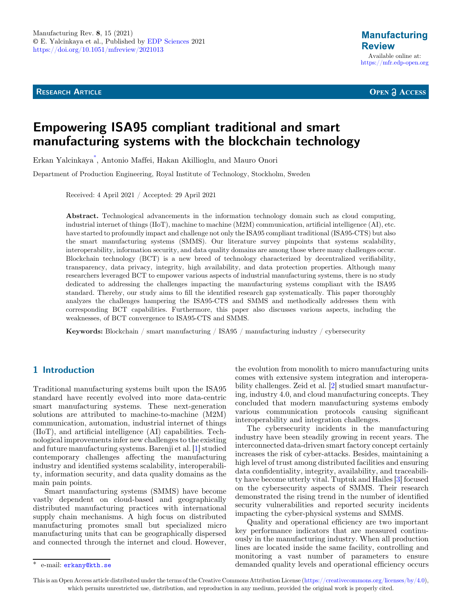**RESEARCH ARTICLE** 

**OPEN A ACCESS** 

# Empowering ISA95 compliant traditional and smart manufacturing systems with the blockchain technology

Erkan Yalcinkaya\* , Antonio Maffei, Hakan Akillioglu, and Mauro Onori

Department of Production Engineering, Royal Institute of Technology, Stockholm, Sweden

Received: 4 April 2021 / Accepted: 29 April 2021

Abstract. Technological advancements in the information technology domain such as cloud computing, industrial internet of things (IIoT), machine to machine (M2M) communication, artificial intelligence (AI), etc. have started to profoundly impact and challenge not only the ISA95 compliant traditional (ISA95-CTS) but also the smart manufacturing systems (SMMS). Our literature survey pinpoints that systems scalability, interoperability, information security, and data quality domains are among those where many challenges occur. Blockchain technology (BCT) is a new breed of technology characterized by decentralized verifiability, transparency, data privacy, integrity, high availability, and data protection properties. Although many researchers leveraged BCT to empower various aspects of industrial manufacturing systems, there is no study dedicated to addressing the challenges impacting the manufacturing systems compliant with the ISA95 standard. Thereby, our study aims to fill the identified research gap systematically. This paper thoroughly analyzes the challenges hampering the ISA95-CTS and SMMS and methodically addresses them with corresponding BCT capabilities. Furthermore, this paper also discusses various aspects, including the weaknesses, of BCT convergence to ISA95-CTS and SMMS.

Keywords: Blockchain / smart manufacturing / ISA95 / manufacturing industry / cybersecurity

## 1 Introduction

Traditional manufacturing systems built upon the ISA95 standard have recently evolved into more data-centric smart manufacturing systems. These next-generation solutions are attributed to machine-to-machine (M2M) communication, automation, industrial internet of things (IIoT), and artificial intelligence (AI) capabilities. Technological improvements infer new challenges to the existing and future manufacturing systems. Barenji et al. [[1\]](#page-17-0) studied contemporary challenges affecting the manufacturing industry and identified systems scalability, interoperability, information security, and data quality domains as the main pain points.

Smart manufacturing systems (SMMS) have become vastly dependent on cloud-based and geographically distributed manufacturing practices with international supply chain mechanisms. A high focus on distributed manufacturing promotes small but specialized micro manufacturing units that can be geographically dispersed and connected through the internet and cloud. However,

the evolution from monolith to micro manufacturing units comes with extensive system integration and interoperability challenges. Zeid et al. [[2\]](#page-17-0) studied smart manufacturing, industry 4.0, and cloud manufacturing concepts. They concluded that modern manufacturing systems embody various communication protocols causing significant interoperability and integration challenges.

The cybersecurity incidents in the manufacturing industry have been steadily growing in recent years. The interconnected data-driven smart factory concept certainly increases the risk of cyber-attacks. Besides, maintaining a high level of trust among distributed facilities and ensuring data confidentiality, integrity, availability, and traceability have become utterly vital. Tuptuk and Hailes [\[3](#page-17-0)] focused on the cybersecurity aspects of SMMS. Their research demonstrated the rising trend in the number of identified security vulnerabilities and reported security incidents impacting the cyber-physical systems and SMMS.

Quality and operational efficiency are two important key performance indicators that are measured continuously in the manufacturing industry. When all production lines are located inside the same facility, controlling and monitoring a vast number of parameters to ensure \* e-mail: [erkany@kth.se](mailto:erkany@kth.se) demanded quality levels and operational efficiency occurs

This is an Open Access article distributed under the terms of the Creative Commons Attribution License [\(https://creativecommons.org/licenses/by/4.0\)](https://creativecommons.org/licenses/by/4.0), which permits unrestricted use, distribution, and reproduction in any medium, provided the original work is properly cited.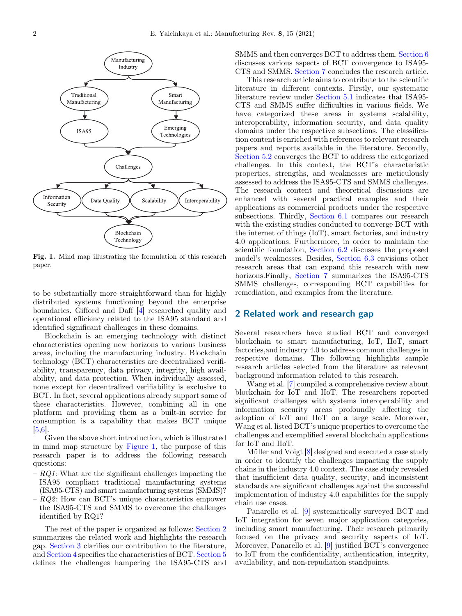

Fig. 1. Mind map illustrating the formulation of this research paper.

to be substantially more straightforward than for highly distributed systems functioning beyond the enterprise boundaries. Gifford and Daff [[4\]](#page-17-0) researched quality and operational efficiency related to the ISA95 standard and identified significant challenges in these domains.

Blockchain is an emerging technology with distinct characteristics opening new horizons to various business areas, including the manufacturing industry. Blockchain technology (BCT) characteristics are decentralized verifiability, transparency, data privacy, integrity, high availability, and data protection. When individually assessed, none except for decentralized verifiability is exclusive to BCT. In fact, several applications already support some of these characteristics. However, combining all in one platform and providing them as a built-in service for consumption is a capability that makes BCT unique [\[5,6\]](#page-17-0).

Given the above short introduction, which is illustrated in mind map structure by Figure 1, the purpose of this research paper is to address the following research questions:

- $-$  RQ1: What are the significant challenges impacting the ISA95 compliant traditional manufacturing systems (ISA95-CTS) and smart manufacturing systems (SMMS)?
- $-$  RQ2: How can BCT's unique characteristics empower the ISA95-CTS and SMMS to overcome the challenges identified by RQ1?

The rest of the paper is organized as follows: Section 2 summarizes the related work and highlights the research gap. [Section 3](#page-2-0) clarifies our contribution to the literature, and [Section 4](#page-6-0) specifies the characteristics of BCT. [Section 5](#page-14-0) defines the challenges hampering the ISA95-CTS and SMMS and then converges BCT to address them. [Section 6](#page-17-0) discusses various aspects of BCT convergence to ISA95- CTS and SMMS. Section 7 concludes the research article.

This research article aims to contribute to the scientific literature in different contexts. Firstly, our systematic literature review under [Section 5.1](#page-14-0) indicates that ISA95- CTS and SMMS suffer difficulties in various fields. We have categorized these areas in systems scalability, interoperability, information security, and data quality domains under the respective subsections. The classification content is enriched with references to relevant research papers and reports available in the literature. Secondly, [Section 5.2](#page-16-0) converges the BCT to address the categorized challenges. In this context, the BCT's characteristic properties, strengths, and weaknesses are meticulously assessed to address the ISA95-CTS and SMMS challenges. The research content and theoretical discussions are enhanced with several practical examples and their applications as commercial products under the respective subsections. Thirdly, Section 6.1 compares our research with the existing studies conducted to converge BCT with the internet of things (IoT), smart factories, and industry 4.0 applications. Furthermore, in order to maintain the scientific foundation, Section 6.2 discusses the proposed model's weaknesses. Besides, Section 6.3 envisions other research areas that can expand this research with new horizons.Finally, Section 7 summarizes the ISA95-CTS SMMS challenges, corresponding BCT capabilities for remediation, and examples from the literature.

## 2 Related work and research gap

Several researchers have studied BCT and converged blockchain to smart manufacturing, IoT, IIoT, smart factories,and industry 4.0 to address common challenges in respective domains. The following highlights sample research articles selected from the literature as relevant background information related to this research.

Wang et al. [[7\]](#page-17-0) compiled a comprehensive review about blockchain for IoT and IIoT. The researchers reported significant challenges with systems interoperability and information security areas profoundly affecting the adoption of IoT and IIoT on a large scale. Moreover, Wang et al. listed BCT's unique properties to overcome the challenges and exemplified several blockchain applications for IoT and IIoT.

Müller and Voigt [\[8](#page-17-0)] designed and executed a case study in order to identify the challenges impacting the supply chains in the industry 4.0 context. The case study revealed that insufficient data quality, security, and inconsistent standards are significant challenges against the successful implementation of industry 4.0 capabilities for the supply chain use cases.

Panarello et al. [\[9](#page-17-0)] systematically surveyed BCT and IoT integration for seven major application categories, including smart manufacturing. Their research primarily focused on the privacy and security aspects of IoT. Moreover, Panarello et al. [\[9](#page-17-0)] justified BCT's convergence to IoT from the confidentiality, authentication, integrity, availability, and non-repudiation standpoints.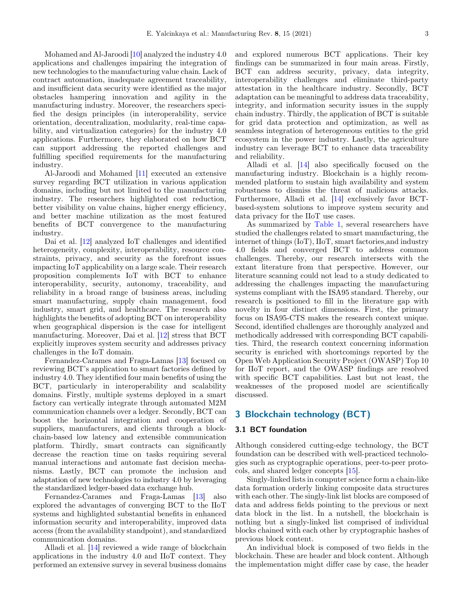<span id="page-2-0"></span>Mohamed and Al-Jaroodi [[10\]](#page-17-0) analyzed the industry 4.0 applications and challenges impairing the integration of new technologies to the manufacturing value chain. Lack of contract automation, inadequate agreement traceability, and insufficient data security were identified as the major obstacles hampering innovation and agility in the manufacturing industry. Moreover, the researchers specified the design principles (in interoperability, service orientation, decentralization, modularity, real-time capability, and virtualization categories) for the industry 4.0 applications. Furthermore, they elaborated on how BCT can support addressing the reported challenges and fulfilling specified requirements for the manufacturing industry.

Al-Jaroodi and Mohamed [[11\]](#page-17-0) executed an extensive survey regarding BCT utilization in various application domains, including but not limited to the manufacturing industry. The researchers highlighted cost reduction, better visibility on value chains, higher energy efficiency, and better machine utilization as the most featured benefits of BCT convergence to the manufacturing industry.

Dai et al. [\[12\]](#page-17-0) analyzed IoT challenges and identified heterogeneity, complexity, interoperability, resource constraints, privacy, and security as the forefront issues impacting IoT applicability on a large scale. Their research proposition complements IoT with BCT to enhance interoperability, security, autonomy, traceability, and reliability in a broad range of business areas, including smart manufacturing, supply chain management, food industry, smart grid, and healthcare. The research also highlights the benefits of adopting BCT on interoperability when geographical dispersion is the case for intelligent manufacturing. Moreover, Dai et al. [[12\]](#page-17-0) stress that BCT explicitly improves system security and addresses privacy challenges in the IoT domain.

Fernandez-Carames and Fraga-Lamas [[13\]](#page-17-0) focused on reviewing BCT's application to smart factories defined by industry 4.0. They identified four main benefits of using the BCT, particularly in interoperability and scalability domains. Firstly, multiple systems deployed in a smart factory can vertically integrate through automated M2M communication channels over a ledger. Secondly, BCT can boost the horizontal integration and cooperation of suppliers, manufacturers, and clients through a blockchain-based low latency and extensible communication platform. Thirdly, smart contracts can significantly decrease the reaction time on tasks requiring several manual interactions and automate fast decision mechanisms. Lastly, BCT can promote the inclusion and adaptation of new technologies to industry 4.0 by leveraging the standardized ledger-based data exchange hub.

Fernandez-Carames and Fraga-Lamas [[13\]](#page-17-0) also explored the advantages of converging BCT to the IIoT systems and highlighted substantial benefits in enhanced information security and interoperability, improved data access (from the availability standpoint), and standardized communication domains.

Alladi et al. [\[14](#page-17-0)] reviewed a wide range of blockchain applications in the industry 4.0 and IIoT context. They performed an extensive survey in several business domains and explored numerous BCT applications. Their key findings can be summarized in four main areas. Firstly, BCT can address security, privacy, data integrity, interoperability challenges and eliminate third-party attestation in the healthcare industry. Secondly, BCT adaptation can be meaningful to address data traceability, integrity, and information security issues in the supply chain industry. Thirdly, the application of BCT is suitable for grid data protection and optimization, as well as seamless integration of heterogeneous entities to the grid ecosystem in the power industry. Lastly, the agriculture industry can leverage BCT to enhance data traceability and reliability.

Alladi et al. [\[14](#page-17-0)] also specifically focused on the manufacturing industry. Blockchain is a highly recommended platform to sustain high availability and system robustness to dismiss the threat of malicious attacks. Furthermore, Alladi et al. [\[14](#page-17-0)] exclusively favor BCTbased-system solutions to improve system security and data privacy for the IIoT use cases.

As summarized by [Table 1,](#page-3-0) several researchers have studied the challenges related to smart manufacturing, the internet of things (IoT), IIoT, smart factories,and industry 4.0 fields and converged BCT to address common challenges. Thereby, our research intersects with the extant literature from that perspective. However, our literature scanning could not lead to a study dedicated to addressing the challenges impacting the manufacturing systems compliant with the ISA95 standard. Thereby, our research is positioned to fill in the literature gap with novelty in four distinct dimensions. First, the primary focus on ISA95-CTS makes the research context unique. Second, identified challenges are thoroughly analyzed and methodically addressed with corresponding BCT capabilities. Third, the research context concerning information security is enriched with shortcomings reported by the Open Web Application Security Project (OWASP) Top 10 for IIoT report, and the OWASP findings are resolved with specific BCT capabilities. Last but not least, the weaknesses of the proposed model are scientifically discussed.

## 3 Blockchain technology (BCT)

#### 3.1 BCT foundation

Although considered cutting-edge technology, the BCT foundation can be described with well-practiced technologies such as cryptographic operations, peer-to-peer protocols, and shared ledger concepts [[15\]](#page-17-0).

Singly-linked lists in computer science form a chain-like data formation orderly linking composite data structures with each other. The singly-link list blocks are composed of data and address fields pointing to the previous or next data block in the list. In a nutshell, the blockchain is nothing but a singly-linked list comprised of individual blocks chained with each other by cryptographic hashes of previous block content.

An individual block is composed of two fields in the blockchain. These are header and block content. Although the implementation might differ case by case, the header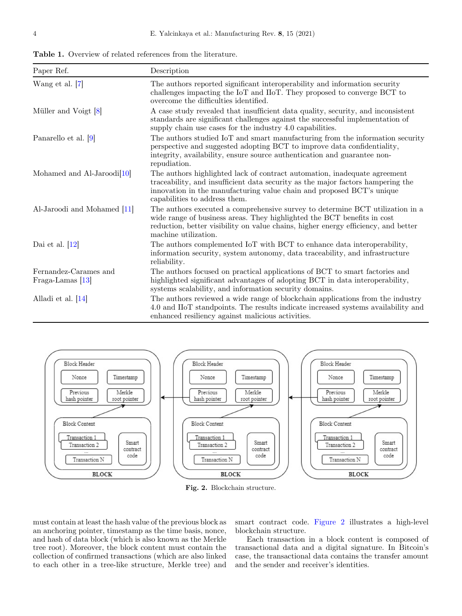<span id="page-3-0"></span>Table 1. Overview of related references from the literature.

| Paper Ref.                                  | Description                                                                                                                                                                                                                                                            |
|---------------------------------------------|------------------------------------------------------------------------------------------------------------------------------------------------------------------------------------------------------------------------------------------------------------------------|
| Wang et al. [7]                             | The authors reported significant interoperability and information security<br>challenges impacting the IoT and IIoT. They proposed to converge BCT to<br>overcome the difficulties identified.                                                                         |
| Müller and Voigt [8]                        | A case study revealed that insufficient data quality, security, and inconsistent<br>standards are significant challenges against the successful implementation of<br>supply chain use cases for the industry 4.0 capabilities.                                         |
| Panarello et al. [9]                        | The authors studied IoT and smart manufacturing from the information security<br>perspective and suggested adopting BCT to improve data confidentiality,<br>integrity, availability, ensure source authentication and guarantee non-<br>repudiation.                   |
| Mohamed and Al-Jaroodi <sup>[10]</sup>      | The authors highlighted lack of contract automation, inadequate agreement<br>traceability, and insufficient data security as the major factors hampering the<br>innovation in the manufacturing value chain and proposed BCT's unique<br>capabilities to address them. |
| Al-Jaroodi and Mohamed [11]                 | The authors executed a comprehensive survey to determine BCT utilization in a<br>wide range of business areas. They highlighted the BCT benefits in cost<br>reduction, better visibility on value chains, higher energy efficiency, and better<br>machine utilization. |
| Dai et al. $[12]$                           | The authors complemented IoT with BCT to enhance data interoperability,<br>information security, system autonomy, data traceability, and infrastructure<br>reliability.                                                                                                |
| Fernandez-Carames and<br>$Fraga-Lamas$ [13] | The authors focused on practical applications of BCT to smart factories and<br>highlighted significant advantages of adopting BCT in data interoperability,<br>systems scalability, and information security domains.                                                  |
| Alladi et al. [14]                          | The authors reviewed a wide range of blockchain applications from the industry<br>4.0 and IIoT standpoints. The results indicate increased systems availability and<br>enhanced resiliency against malicious activities.                                               |



Fig. 2. Blockchain structure.

must contain at least the hash value of the previous block as an anchoring pointer, timestamp as the time basis, nonce, and hash of data block (which is also known as the Merkle tree root). Moreover, the block content must contain the collection of confirmed transactions (which are also linked to each other in a tree-like structure, Merkle tree) and

smart contract code. Figure 2 illustrates a high-level blockchain structure.

Each transaction in a block content is composed of transactional data and a digital signature. In Bitcoin's case, the transactional data contains the transfer amount and the sender and receiver's identities.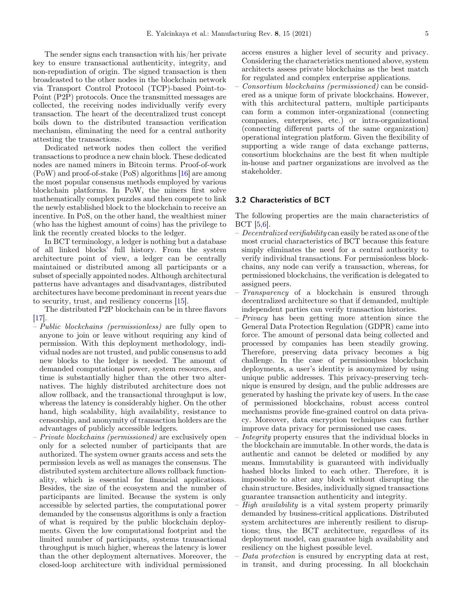The sender signs each transaction with his/her private key to ensure transactional authenticity, integrity, and non-repudiation of origin. The signed transaction is then broadcasted to the other nodes in the blockchain network via Transport Control Protocol (TCP)-based Point-to-Point (P2P) protocols. Once the transmitted messages are collected, the receiving nodes individually verify every transaction. The heart of the decentralized trust concept boils down to the distributed transaction verification mechanism, eliminating the need for a central authority attesting the transactions.

Dedicated network nodes then collect the verified transactions to produce a new chain block. These dedicated nodes are named miners in Bitcoin terms. Proof-of-work (PoW) and proof-of-stake (PoS) algorithms [[16\]](#page-17-0) are among the most popular consensus methods employed by various blockchain platforms. In PoW, the miners first solve mathematically complex puzzles and then compete to link the newly established block to the blockchain to receive an incentive. In PoS, on the other hand, the wealthiest miner (who has the highest amount of coins) has the privilege to link the recently created blocks to the ledger.

In BCT terminology, a ledger is nothing but a database of all linked blocks' full history. From the system architecture point of view, a ledger can be centrally maintained or distributed among all participants or a subset of specially appointed nodes. Although architectural patterns have advantages and disadvantages, distributed architectures have become predominant in recent years due to security, trust, and resiliency concerns [\[15\]](#page-17-0).

The distributed P2P blockchain can be in three flavors [\[17](#page-17-0)].

- Public blockchains (permissionless) are fully open to anyone to join or leave without requiring any kind of permission. With this deployment methodology, individual nodes are not trusted, and public consensus to add new blocks to the ledger is needed. The amount of demanded computational power, system resources, and time is substantially higher than the other two alternatives. The highly distributed architecture does not allow rollback, and the transactional throughput is low, whereas the latency is considerably higher. On the other hand, high scalability, high availability, resistance to censorship, and anonymity of transaction holders are the advantages of publicly accessible ledgers.
- Private blockchains (permissioned) are exclusively open only for a selected number of participants that are authorized. The system owner grants access and sets the permission levels as well as manages the consensus. The distributed system architecture allows rollback functionality, which is essential for financial applications. Besides, the size of the ecosystem and the number of participants are limited. Because the system is only accessible by selected parties, the computational power demanded by the consensus algorithms is only a fraction of what is required by the public blockchain deployments. Given the low computational footprint and the limited number of participants, systems transactional throughput is much higher, whereas the latency is lower than the other deployment alternatives. Moreover, the closed-loop architecture with individual permissioned

access ensures a higher level of security and privacy. Considering the characteristics mentioned above, system architects assess private blockchains as the best match for regulated and complex enterprise applications.

– Consortium blockchains (permissioned) can be considered as a unique form of private blockchains. However, with this architectural pattern, multiple participants can form a common inter-organizational (connecting companies, enterprises, etc.) or intra-organizational (connecting different parts of the same organization) operational integration platform. Given the flexibility of supporting a wide range of data exchange patterns, consortium blockchains are the best fit when multiple in-house and partner organizations are involved as the stakeholder.

#### 3.2 Characteristics of BCT

The following properties are the main characteristics of BCT [[5,6\]](#page-17-0).

- $P$  Decentralized verifiability can easily be rated as one of the most crucial characteristics of BCT because this feature simply eliminates the need for a central authority to verify individual transactions. For permissionless blockchains, any node can verify a transaction, whereas, for permissioned blockchains, the verification is delegated to assigned peers.
- Transparency of a blockchain is ensured through decentralized architecture so that if demanded, multiple independent parties can verify transaction histories.
- Privacy has been getting more attention since the General Data Protection Regulation (GDPR) came into force. The amount of personal data being collected and processed by companies has been steadily growing. Therefore, preserving data privacy becomes a big challenge. In the case of permissionless blockchain deployments, a user's identity is anonymized by using unique public addresses. This privacy-preserving technique is ensured by design, and the public addresses are generated by hashing the private key of users. In the case of permissioned blockchains, robust access control mechanisms provide fine-grained control on data privacy. Moreover, data encryption techniques can further improve data privacy for permissioned use cases.
- Integrity property ensures that the individual blocks in the blockchain are immutable. In other words, the data is authentic and cannot be deleted or modified by any means. Immutability is guaranteed with individually hashed blocks linked to each other. Therefore, it is impossible to alter any block without disrupting the chain structure. Besides, individually signed transactions guarantee transaction authenticity and integrity.
- High availability is a vital system property primarily demanded by business-critical applications. Distributed system architectures are inherently resilient to disruptions; thus, the BCT architecture, regardless of its deployment model, can guarantee high availability and resiliency on the highest possible level.
- Data protection is ensured by encrypting data at rest, in transit, and during processing. In all blockchain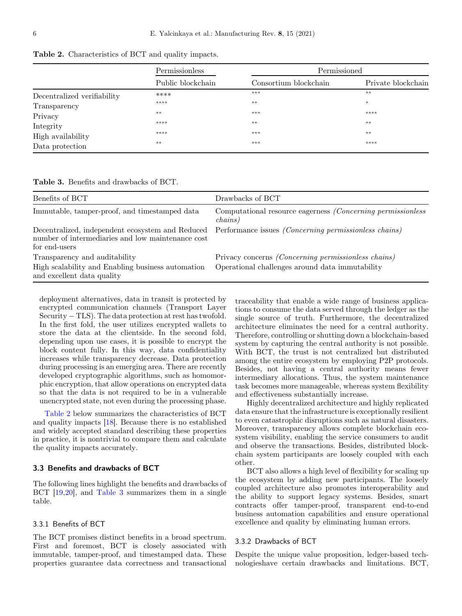|                             | Permissionless    |                       | Permissioned       |  |
|-----------------------------|-------------------|-----------------------|--------------------|--|
|                             | Public blockchain | Consortium blockchain | Private blockchain |  |
| Decentralized verifiability | ****              | $***$                 | **                 |  |
| Transparency                | ****              | $***$                 | $\ast$             |  |
| Privacy                     | $***$             | $***$                 | ****               |  |
| Integrity                   | ****              | $***$                 | $**$               |  |
| High availability           | ****              | ***                   | $**$               |  |
| Data protection             | $***$             | $***$                 | ****               |  |

Table 2. Characteristics of BCT and quality impacts.

| Benefits of BCT                                                                 | Drawbacks of BCT                                                                                       |
|---------------------------------------------------------------------------------|--------------------------------------------------------------------------------------------------------|
| Immutable, tamper-proof, and timestamped data                                   | Computational resource eagerness <i>(Concerning permissionless</i> )<br>chains)                        |
| number of intermediaries and low maintenance cost<br>for end-users              | Decentralized, independent ecosystem and Reduced Performance issues (Concerning permissionless chains) |
| Transparency and auditability                                                   | Privacy concerns <i>(Concerning permissionless chains)</i>                                             |
| High scalability and Enabling business automation<br>and excellent data quality | Operational challenges around data immutability                                                        |

deployment alternatives, data in transit is protected by encrypted communication channels (Transport Layer  $Security - TLS$ ). The data protection at rest has twofold. In the first fold, the user utilizes encrypted wallets to store the data at the clientside. In the second fold, depending upon use cases, it is possible to encrypt the block content fully. In this way, data confidentiality increases while transparency decrease. Data protection during processing is an emerging area. There are recently developed cryptographic algorithms, such as homomorphic encryption, that allow operations on encrypted data so that the data is not required to be in a vulnerable unencrypted state, not even during the processing phase.

Table 2 below summarizes the characteristics of BCT and quality impacts [\[18](#page-17-0)]. Because there is no established and widely accepted standard describing these properties in practice, it is nontrivial to compare them and calculate the quality impacts accurately.

#### 3.3 Benefits and drawbacks of BCT

The following lines highlight the benefits and drawbacks of BCT [\[19](#page-17-0),[20\]](#page-18-0), and Table 3 summarizes them in a single table.

## 3.3.1 Benefits of BCT

The BCT promises distinct benefits in a broad spectrum. First and foremost, BCT is closely associated with immutable, tamper-proof, and timestamped data. These properties guarantee data correctness and transactional

traceability that enable a wide range of business applications to consume the data served through the ledger as the single source of truth. Furthermore, the decentralized architecture eliminates the need for a central authority. Therefore, controlling or shutting down a blockchain-based system by capturing the central authority is not possible. With BCT, the trust is not centralized but distributed among the entire ecosystem by employing P2P protocols. Besides, not having a central authority means fewer intermediary allocations. Thus, the system maintenance task becomes more manageable, whereas system flexibility and effectiveness substantially increase.

Highly decentralized architecture and highly replicated data ensure that the infrastructure is exceptionally resilient to even catastrophic disruptions such as natural disasters. Moreover, transparency allows complete blockchain ecosystem visibility, enabling the service consumers to audit and observe the transactions. Besides, distributed blockchain system participants are loosely coupled with each other.

BCT also allows a high level of flexibility for scaling up the ecosystem by adding new participants. The loosely coupled architecture also promotes interoperability and the ability to support legacy systems. Besides, smart contracts offer tamper-proof, transparent end-to-end business automation capabilities and ensure operational excellence and quality by eliminating human errors.

#### 3.3.2 Drawbacks of BCT

Despite the unique value proposition, ledger-based technologieshave certain drawbacks and limitations. BCT,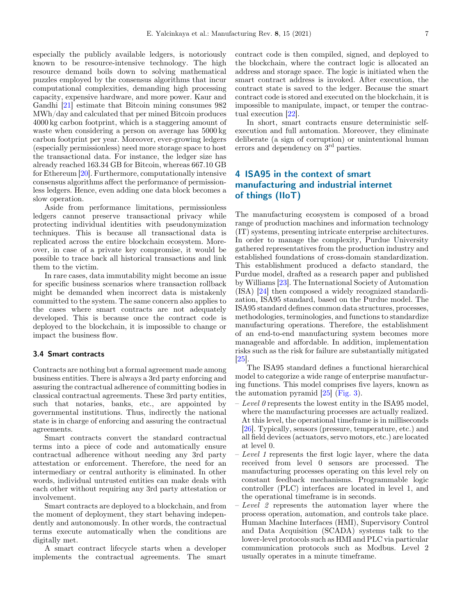<span id="page-6-0"></span>especially the publicly available ledgers, is notoriously known to be resource-intensive technology. The high resource demand boils down to solving mathematical puzzles employed by the consensus algorithms that incur computational complexities, demanding high processing capacity, expensive hardware, and more power. Kaur and Gandhi [[21\]](#page-18-0) estimate that Bitcoin mining consumes 982 MWh/day and calculated that per mined Bitcoin produces 4000 kg carbon footprint, which is a staggering amount of waste when considering a person on average has 5000 kg carbon footprint per year. Moreover, ever-growing ledgers (especially permissionless) need more storage space to host the transactional data. For instance, the ledger size has already reached 163.34 GB for Bitcoin, whereas 667.10 GB for Ethereum [[20\]](#page-18-0). Furthermore, computationally intensive consensus algorithms affect the performance of permissionless ledgers. Hence, even adding one data block becomes a slow operation.

Aside from performance limitations, permissionless ledgers cannot preserve transactional privacy while protecting individual identities with pseudonymization techniques. This is because all transactional data is replicated across the entire blockchain ecosystem. Moreover, in case of a private key compromise, it would be possible to trace back all historical transactions and link them to the victim.

In rare cases, data immutability might become an issue for specific business scenarios where transaction rollback might be demanded when incorrect data is mistakenly committed to the system. The same concern also applies to the cases where smart contracts are not adequately developed. This is because once the contract code is deployed to the blockchain, it is impossible to change or impact the business flow.

#### 3.4 Smart contracts

Contracts are nothing but a formal agreement made among business entities. There is always a 3rd party enforcing and assuring the contractual adherence of committing bodies in classical contractual agreements. These 3rd party entities, such that notaries, banks, etc., are appointed by governmental institutions. Thus, indirectly the national state is in charge of enforcing and assuring the contractual agreements.

Smart contracts convert the standard contractual terms into a piece of code and automatically ensure contractual adherence without needing any 3rd party attestation or enforcement. Therefore, the need for an intermediary or central authority is eliminated. In other words, individual untrusted entities can make deals with each other without requiring any 3rd party attestation or involvement.

Smart contracts are deployed to a blockchain, and from the moment of deployment, they start behaving independently and autonomously. In other words, the contractual terms execute automatically when the conditions are digitally met.

A smart contract lifecycle starts when a developer implements the contractual agreements. The smart

contract code is then compiled, signed, and deployed to the blockchain, where the contract logic is allocated an address and storage space. The logic is initiated when the smart contract address is invoked. After execution, the contract state is saved to the ledger. Because the smart contract code is stored and executed on the blockchain, it is impossible to manipulate, impact, or temper the contractual execution [\[22\]](#page-18-0).

In short, smart contracts ensure deterministic selfexecution and full automation. Moreover, they eliminate deliberate (a sign of corruption) or unintentional human errors and dependency on  $3<sup>rd</sup>$  parties.

# 4 ISA95 in the context of smart manufacturing and industrial internet of things (IIoT)

The manufacturing ecosystem is composed of a broad range of production machines and information technology (IT) systems, presenting intricate enterprise architectures. In order to manage the complexity, Purdue University gathered representatives from the production industry and established foundations of cross-domain standardization. This establishment produced a defacto standard, the Purdue model, drafted as a research paper and published by Williams [\[23](#page-18-0)]. The International Society of Automation (ISA) [\[24](#page-18-0)] then composed a widely recognized standardization, ISA95 standard, based on the Purdue model. The ISA95 standard defines common data structures, processes, methodologies, terminologies, and functions to standardize manufacturing operations. Therefore, the establishment of an end-to-end manufacturing system becomes more manageable and affordable. In addition, implementation risks such as the risk for failure are substantially mitigated [\[25](#page-18-0)].

The ISA95 standard defines a functional hierarchical model to categorize a wide range of enterprise manufacturing functions. This model comprises five layers, known as the automation pyramid [[25\]](#page-18-0) ([Fig. 3](#page-7-0)).

- $\sim$  Level 0 represents the lowest entity in the ISA95 model, where the manufacturing processes are actually realized. At this level, the operational timeframe is in milliseconds [\[26](#page-18-0)]. Typically, sensors (pressure, temperature, etc.) and all field devices (actuators, servo motors, etc.) are located at level 0.
- $I$  Level 1 represents the first logic layer, where the data received from level 0 sensors are processed. The manufacturing processes operating on this level rely on constant feedback mechanisms. Programmable logic controller (PLC) interfaces are located in level 1, and the operational timeframe is in seconds.
- $-$  Level 2 represents the automation layer where the process operation, automation, and controls take place. Human Machine Interfaces (HMI), Supervisory Control and Data Acquisition (SCADA) systems talk to the lower-level protocols such as HMI and PLC via particular communication protocols such as Modbus. Level 2 usually operates in a minute timeframe.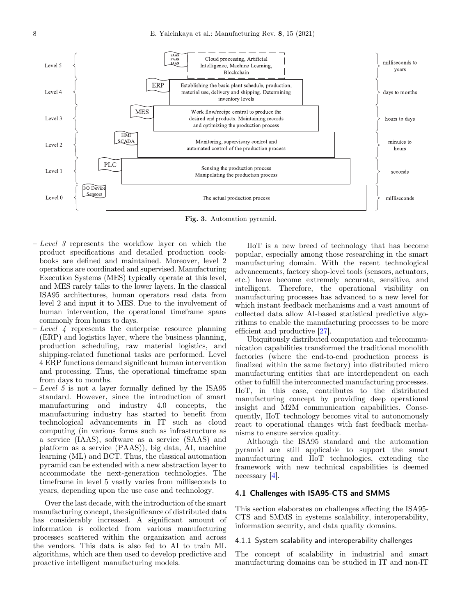<span id="page-7-0"></span>

Fig. 3. Automation pyramid.

- $-$  Level 3 represents the workflow layer on which the product specifications and detailed production cookbooks are defined and maintained. Moreover, level 2 operations are coordinated and supervised. Manufacturing Execution Systems (MES) typically operate at this level, and MES rarely talks to the lower layers. In the classical ISA95 architectures, human operators read data from level 2 and input it to MES. Due to the involvement of human intervention, the operational timeframe spans commonly from hours to days.
- $Level 4$  represents the enterprise resource planning (ERP) and logistics layer, where the business planning, production scheduling, raw material logistics, and shipping-related functional tasks are performed. Level 4 ERP functions demand significant human intervention and processing. Thus, the operational timeframe span from days to months.
- $-$  Level 5 is not a layer formally defined by the ISA95 standard. However, since the introduction of smart manufacturing and industry 4.0 concepts, the manufacturing industry has started to benefit from technological advancements in IT such as cloud computing (in various forms such as infrastructure as a service (IAAS), software as a service (SAAS) and platform as a service (PAAS)), big data, AI, machine learning (ML) and BCT. Thus, the classical automation pyramid can be extended with a new abstraction layer to accommodate the next-generation technologies. The timeframe in level 5 vastly varies from milliseconds to years, depending upon the use case and technology.

Over the last decade, with the introduction of the smart manufacturing concept, the significance of distributed data has considerably increased. A significant amount of information is collected from various manufacturing processes scattered within the organization and across the vendors. This data is also fed to AI to train ML algorithms, which are then used to develop predictive and proactive intelligent manufacturing models.

IIoT is a new breed of technology that has become popular, especially among those researching in the smart manufacturing domain. With the recent technological advancements, factory shop-level tools (sensors, actuators, etc.) have become extremely accurate, sensitive, and intelligent. Therefore, the operational visibility on manufacturing processes has advanced to a new level for which instant feedback mechanisms and a vast amount of collected data allow AI-based statistical predictive algorithms to enable the manufacturing processes to be more efficient and productive [\[27](#page-18-0)].

Ubiquitously distributed computation and telecommunication capabilities transformed the traditional monolith factories (where the end-to-end production process is finalized within the same factory) into distributed micro manufacturing entities that are interdependent on each other to fulfill the interconnected manufacturing processes. IIoT, in this case, contributes to the distributed manufacturing concept by providing deep operational insight and M2M communication capabilities. Consequently, IIoT technology becomes vital to autonomously react to operational changes with fast feedback mechanisms to ensure service quality.

Although the ISA95 standard and the automation pyramid are still applicable to support the smart manufacturing and IIoT technologies, extending the framework with new technical capabilities is deemed necessary [\[4](#page-17-0)].

## 4.1 Challenges with ISA95-CTS and SMMS

This section elaborates on challenges affecting the ISA95- CTS and SMMS in systems scalability, interoperability, information security, and data quality domains.

#### 4.1.1 System scalability and interoperability challenges

The concept of scalability in industrial and smart manufacturing domains can be studied in IT and non-IT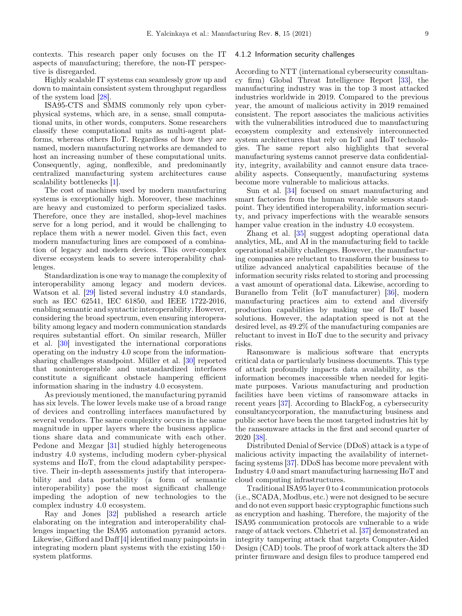contexts. This research paper only focuses on the IT aspects of manufacturing; therefore, the non-IT perspective is disregarded.

Highly scalable IT systems can seamlessly grow up and down to maintain consistent system throughput regardless of the system load [\[28](#page-18-0)].

ISA95-CTS and SMMS commonly rely upon cyberphysical systems, which are, in a sense, small computational units, in other words, computers. Some researchers classify these computational units as multi-agent platforms, whereas others IIoT. Regardless of how they are named, modern manufacturing networks are demanded to host an increasing number of these computational units. Consequently, aging, nonflexible, and predominantly centralized manufacturing system architectures cause scalability bottlenecks [[1\]](#page-17-0).

The cost of machines used by modern manufacturing systems is exceptionally high. Moreover, these machines are heavy and customized to perform specialized tasks. Therefore, once they are installed, shop-level machines serve for a long period, and it would be challenging to replace them with a newer model. Given this fact, even modern manufacturing lines are composed of a combination of legacy and modern devices. This over-complex diverse ecosystem leads to severe interoperability challenges.

Standardization is one way to manage the complexity of interoperability among legacy and modern devices. Watson et al. [[29\]](#page-18-0) listed several industry 4.0 standards, such as IEC 62541, IEC 61850, and IEEE 1722-2016, enabling semantic and syntactic interoperability. However, considering the broad spectrum, even ensuring interoperability among legacy and modern communication standards requires substantial effort. On similar research, Müller et al. [\[30](#page-18-0)] investigated the international corporations operating on the industry 4.0 scope from the informationsharing challenges standpoint. Müller et al. [\[30\]](#page-18-0) reported that noninteroperable and unstandardized interfaces constitute a significant obstacle hampering efficient information sharing in the industry 4.0 ecosystem.

As previously mentioned, the manufacturing pyramid has six levels. The lower levels make use of a broad range of devices and controlling interfaces manufactured by several vendors. The same complexity occurs in the same magnitude in upper layers where the business applications share data and communicate with each other. Pedone and Mezgar [\[31\]](#page-18-0) studied highly heterogeneous industry 4.0 systems, including modern cyber-physical systems and IIoT, from the cloud adaptability perspective. Their in-depth assessments justify that interoperability and data portability (a form of semantic interoperability) pose the most significant challenge impeding the adoption of new technologies to the complex industry 4.0 ecosystem.

Ray and Jones [\[32](#page-18-0)] published a research article elaborating on the integration and interoperability challenges impacting the ISA95 automation pyramid actors. Likewise, Gifford and Daff [\[4](#page-17-0)] identified many painpoints in integrating modern plant systems with the existing 150+ system platforms.

#### 4.1.2 Information security challenges

According to NTT (international cybersecurity consultancy firm) Global Threat Intelligence Report [[33\]](#page-18-0), the manufacturing industry was in the top 3 most attacked industries worldwide in 2019. Compared to the previous year, the amount of malicious activity in 2019 remained consistent. The report associates the malicious activities with the vulnerabilities introduced due to manufacturing ecosystem complexity and extensively interconnected system architectures that rely on IoT and IIoT technologies. The same report also highlights that several manufacturing systems cannot preserve data confidentiality, integrity, availability and cannot ensure data traceability aspects. Consequently, manufacturing systems become more vulnerable to malicious attacks.

Sun et al. [\[34](#page-18-0)] focused on smart manufacturing and smart factories from the human wearable sensors standpoint. They identified interoperability, information security, and privacy imperfections with the wearable sensors hamper value creation in the industry 4.0 ecosystem.

Zhang et al. [\[35\]](#page-18-0) suggest adopting operational data analytics, ML, and AI in the manufacturing field to tackle operational stability challenges. However, the manufacturing companies are reluctant to transform their business to utilize advanced analytical capabilities because of the information security risks related to storing and processing a vast amount of operational data. Likewise, according to Buranello from Telit (IoT manufacturer) [[36\]](#page-18-0), modern manufacturing practices aim to extend and diversify production capabilities by making use of IIoT based solutions. However, the adaptation speed is not at the desired level, as 49.2% of the manufacturing companies are reluctant to invest in IIoT due to the security and privacy risks.

Ransomware is malicious software that encrypts critical data or particularly business documents. This type of attack profoundly impacts data availability, as the information becomes inaccessible when needed for legitimate purposes. Various manufacturing and production facilities have been victims of ransomware attacks in recent years [[37\]](#page-18-0). According to BlackFog, a cybersecurity consultancycorporation, the manufacturing business and public sector have been the most targeted industries hit by the ransomware attacks in the first and second quarter of 2020 [\[38](#page-18-0)].

Distributed Denial of Service (DDoS) attack is a type of malicious activity impacting the availability of internetfacing systems [[37\]](#page-18-0). DDoS has become more prevalent with Industry 4.0 and smart manufacturing harnessing IIoT and cloud computing infrastructures.

Traditional ISA95 layer 0 to 4 communication protocols (i.e., SCADA, Modbus, etc.) were not designed to be secure and do not even support basic cryptographic functions such as encryption and hashing. Therefore, the majority of the ISA95 communication protocols are vulnerable to a wide range of attack vectors. Chhetri et al. [[37\]](#page-18-0) demonstrated an integrity tampering attack that targets Computer-Aided Design (CAD) tools. The proof of work attack alters the 3D printer firmware and design files to produce tampered end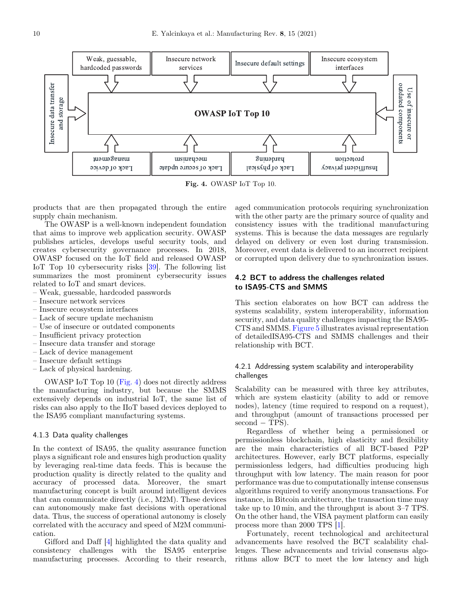

Fig. 4. OWASP IoT Top 10.

products that are then propagated through the entire supply chain mechanism.

The OWASP is a well-known independent foundation that aims to improve web application security. OWASP publishes articles, develops useful security tools, and creates cybersecurity governance processes. In 2018, OWASP focused on the IoT field and released OWASP IoT Top 10 cybersecurity risks [[39\]](#page-18-0). The following list summarizes the most prominent cybersecurity issues related to IoT and smart devices.

– Weak, guessable, hardcoded passwords

- Insecure network services
- Insecure ecosystem interfaces
- Lack of secure update mechanism
- Use of insecure or outdated components
- Insufficient privacy protection
- Insecure data transfer and storage
- Lack of device management
- Insecure default settings
- Lack of physical hardening.

OWASP IoT Top 10 (Fig. 4) does not directly address the manufacturing industry, but because the SMMS extensively depends on industrial IoT, the same list of risks can also apply to the IIoT based devices deployed to the ISA95 compliant manufacturing systems.

#### 4.1.3 Data quality challenges

In the context of ISA95, the quality assurance function plays a significant role and ensures high production quality by leveraging real-time data feeds. This is because the production quality is directly related to the quality and accuracy of processed data. Moreover, the smart manufacturing concept is built around intelligent devices that can communicate directly (i.e., M2M). These devices can autonomously make fast decisions with operational data. Thus, the success of operational autonomy is closely correlated with the accuracy and speed of M2M communication.

Gifford and Daff [\[4](#page-17-0)] highlighted the data quality and consistency challenges with the ISA95 enterprise manufacturing processes. According to their research,

aged communication protocols requiring synchronization with the other party are the primary source of quality and consistency issues with the traditional manufacturing systems. This is because the data messages are regularly delayed on delivery or even lost during transmission. Moreover, event data is delivered to an incorrect recipient or corrupted upon delivery due to synchronization issues.

## 4.2 BCT to address the challenges related to ISA95-CTS and SMMS

This section elaborates on how BCT can address the systems scalability, system interoperability, information security, and data quality challenges impacting the ISA95- CTS and SMMS. [Figure 5](#page-10-0) illustrates avisual representation of detailedISA95-CTS and SMMS challenges and their relationship with BCT.

## 4.2.1 Addressing system scalability and interoperability challenges

Scalability can be measured with three key attributes, which are system elasticity (ability to add or remove nodes), latency (time required to respond on a request), and throughput (amount of transactions processed per  $second - TPS$ ).

Regardless of whether being a permissioned or permissionless blockchain, high elasticity and flexibility are the main characteristics of all BCT-based P2P architectures. However, early BCT platforms, especially permissionless ledgers, had difficulties producing high throughput with low latency. The main reason for poor performance was due to computationally intense consensus algorithms required to verify anonymous transactions. For instance, in Bitcoin architecture, the transaction time may take up to 10 min, and the throughput is about 3–7 TPS. On the other hand, the VISA payment platform can easily process more than 2000 TPS [[1\]](#page-17-0).

Fortunately, recent technological and architectural advancements have resolved the BCT scalability challenges. These advancements and trivial consensus algorithms allow BCT to meet the low latency and high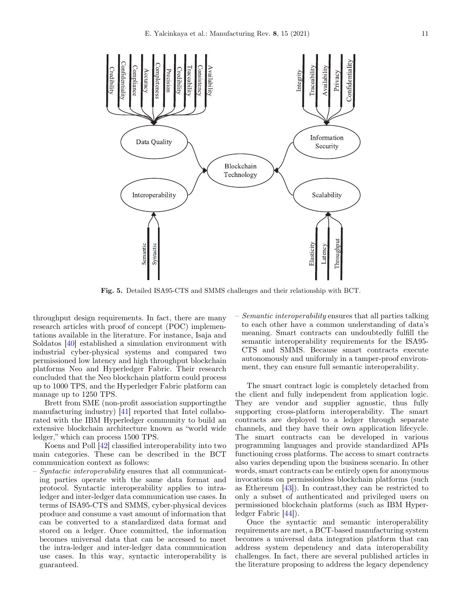<span id="page-10-0"></span>

Fig. 5. Detailed ISA95-CTS and SMMS challenges and their relationship with BCT.

throughput design requirements. In fact, there are many research articles with proof of concept (POC) implementations available in the literature. For instance, Isaja and Soldatos [\[40](#page-18-0)] established a simulation environment with industrial cyber-physical systems and compared two permissioned low latency and high throughput blockchain platforms Neo and Hyperledger Fabric. Their research concluded that the Neo blockchain platform could process up to 1000 TPS, and the Hyperledger Fabric platform can manage up to 1250 TPS.

Brett from SME (non-profit association supportingthe manufacturing industry) [\[41\]](#page-18-0) reported that Intel collaborated with the IBM Hyperledger community to build an extensive blockchain architecture known as "world wide ledger," which can process 1500 TPS.

Koens and Poll [[42\]](#page-18-0) classified interoperability into two main categories. These can be described in the BCT communication context as follows:

– Syntactic interoperability ensures that all communicating parties operate with the same data format and protocol. Syntactic interoperability applies to intraledger and inter-ledger data communication use cases. In terms of ISA95-CTS and SMMS, cyber-physical devices produce and consume a vast amount of information that can be converted to a standardized data format and stored on a ledger. Once committed, the information becomes universal data that can be accessed to meet the intra-ledger and inter-ledger data communication use cases. In this way, syntactic interoperability is guaranteed.

– Semantic interoperability ensures that all parties talking to each other have a common understanding of data's meaning. Smart contracts can undoubtedly fulfill the semantic interoperability requirements for the ISA95- CTS and SMMS. Because smart contracts execute autonomously and uniformly in a tamper-proof environment, they can ensure full semantic interoperability.

The smart contract logic is completely detached from the client and fully independent from application logic. They are vendor and supplier agnostic, thus fully supporting cross-platform interoperability. The smart contracts are deployed to a ledger through separate channels, and they have their own application lifecycle. The smart contracts can be developed in various programming languages and provide standardized APIs functioning cross platforms. The access to smart contracts also varies depending upon the business scenario. In other words, smart contracts can be entirely open for anonymous invocations on permissionless blockchain platforms (such as Ethereum [\[43](#page-18-0)]). In contrast,they can be restricted to only a subset of authenticated and privileged users on permissioned blockchain platforms (such as IBM Hyperledger Fabric [[44\]](#page-18-0)).

Once the syntactic and semantic interoperability requirements are met, a BCT-based manufacturing system becomes a universal data integration platform that can address system dependency and data interoperability challenges. In fact, there are several published articles in the literature proposing to address the legacy dependency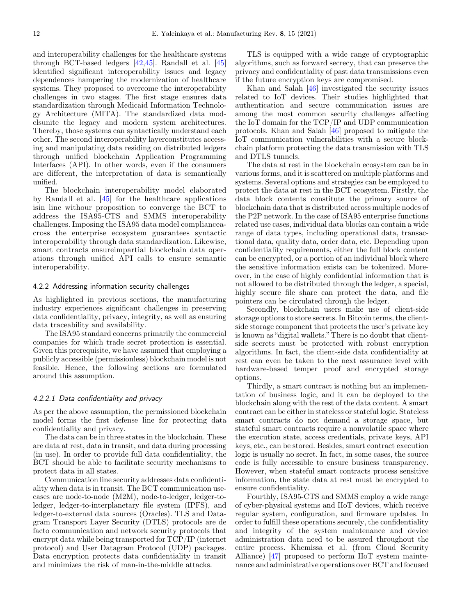and interoperability challenges for the healthcare systems through BCT-based ledgers [[42,45](#page-18-0)]. Randall et al. [\[45](#page-18-0)] identified significant interoperability issues and legacy dependences hampering the modernization of healthcare systems. They proposed to overcome the interoperability challenges in two stages. The first stage ensures data standardization through Medicaid Information Technology Architecture (MITA). The standardized data modelsunite the legacy and modern system architectures. Thereby, those systems can syntactically understand each other. The second interoperability layerconstitutes accessing and manipulating data residing on distributed ledgers through unified blockchain Application Programming Interfaces (API). In other words, even if the consumers are different, the interpretation of data is semantically unified.

The blockchain interoperability model elaborated by Randall et al. [\[45\]](#page-18-0) for the healthcare applications isin line withour proposition to converge the BCT to address the ISA95-CTS and SMMS interoperability challenges. Imposing the ISA95 data model complianceacross the enterprise ecosystem guarantees syntactic interoperability through data standardization. Likewise, smart contracts ensureimpartial blockchain data operations through unified API calls to ensure semantic interoperability.

## 4.2.2 Addressing information security challenges

As highlighted in previous sections, the manufacturing industry experiences significant challenges in preserving data confidentiality, privacy, integrity, as well as ensuring data traceability and availability.

The ISA95 standard concerns primarily the commercial companies for which trade secret protection is essential. Given this prerequisite, we have assumed that employing a publicly accessible (permissionless) blockchain model is not feasible. Hence, the following sections are formulated around this assumption.

#### 4.2.2.1 Data confidentiality and privacy

As per the above assumption, the permissioned blockchain model forms the first defense line for protecting data confidentiality and privacy.

The data can be in three states in the blockchain. These are data at rest, data in transit, and data during processing (in use). In order to provide full data confidentiality, the BCT should be able to facilitate security mechanisms to protect data in all states.

Communication line security addresses data confidentiality when data is in transit. The BCT communication usecases are node-to-node (M2M), node-to-ledger, ledger-toledger, ledger-to-interplanetary file system (IPFS), and ledger-to-external data sources (Oracles). TLS and Datagram Transport Layer Security (DTLS) protocols are de facto communication and network security protocols that encrypt data while being transported for TCP/IP (internet protocol) and User Datagram Protocol (UDP) packages. Data encryption protects data confidentiality in transit and minimizes the risk of man-in-the-middle attacks.

TLS is equipped with a wide range of cryptographic algorithms, such as forward secrecy, that can preserve the privacy and confidentiality of past data transmissions even if the future encryption keys are compromised.

Khan and Salah [[46\]](#page-18-0) investigated the security issues related to IoT devices. Their studies highlighted that authentication and secure communication issues are among the most common security challenges affecting the IoT domain for the TCP/IP and UDP communication protocols. Khan and Salah [\[46](#page-18-0)] proposed to mitigate the IoT communication vulnerabilities with a secure blockchain platform protecting the data transmission with TLS and DTLS tunnels.

The data at rest in the blockchain ecosystem can be in various forms, and it is scattered on multiple platforms and systems. Several options and strategies can be employed to protect the data at rest in the BCT ecosystem. Firstly, the data block contents constitute the primary source of blockchain data that is distributed across multiple nodes of the P2P network. In the case of ISA95 enterprise functions related use cases, individual data blocks can contain a wide range of data types, including operational data, transactional data, quality data, order data, etc. Depending upon confidentiality requirements, either the full block content can be encrypted, or a portion of an individual block where the sensitive information exists can be tokenized. Moreover, in the case of highly confidential information that is not allowed to be distributed through the ledger, a special, highly secure file share can protect the data, and file pointers can be circulated through the ledger.

Secondly, blockchain users make use of client-side storage options to store secrets. In Bitcoin terms, the clientside storage component that protects the user's private key is known as "digital wallets." There is no doubt that clientside secrets must be protected with robust encryption algorithms. In fact, the client-side data confidentiality at rest can even be taken to the next assurance level with hardware-based temper proof and encrypted storage options.

Thirdly, a smart contract is nothing but an implementation of business logic, and it can be deployed to the blockchain along with the rest of the data content. A smart contract can be either in stateless or stateful logic. Stateless smart contracts do not demand a storage space, but stateful smart contracts require a nonvolatile space where the execution state, access credentials, private keys, API keys, etc., can be stored. Besides, smart contract execution logic is usually no secret. In fact, in some cases, the source code is fully accessible to ensure business transparency. However, when stateful smart contracts process sensitive information, the state data at rest must be encrypted to ensure confidentiality.

Fourthly, ISA95-CTS and SMMS employ a wide range of cyber-physical systems and IIoT devices, which receive regular system, configuration, and firmware updates. In order to fulfill these operations securely, the confidentiality and integrity of the system maintenance and device administration data need to be assured throughout the entire process. Khemissa et al. (from Cloud Security Alliance) [[47](#page-18-0)] proposed to perform IIoT system maintenance and administrative operations over BCT and focused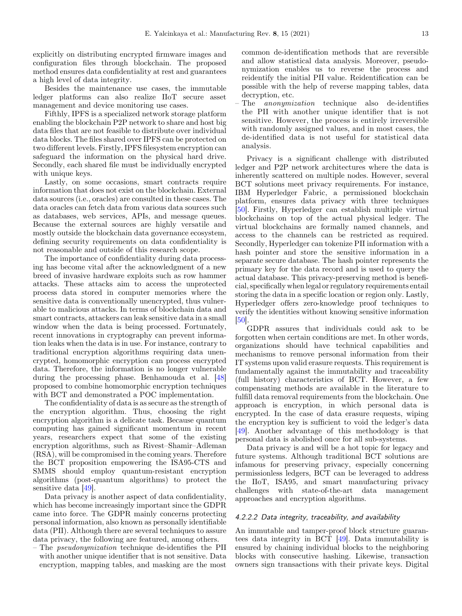explicitly on distributing encrypted firmware images and configuration files through blockchain. The proposed method ensures data confidentiality at rest and guarantees a high level of data integrity.

Besides the maintenance use cases, the immutable ledger platforms can also realize IIoT secure asset management and device monitoring use cases.

Fifthly, IPFS is a specialized network storage platform enabling the blockchain P2P network to share and host big data files that are not feasible to distribute over individual data blocks. The files shared over IPFS can be protected on two different levels. Firstly, IPFS filesystem encryption can safeguard the information on the physical hard drive. Secondly, each shared file must be individually encrypted with unique keys.

Lastly, on some occasions, smart contracts require information that does not exist on the blockchain. External data sources (i.e., oracles) are consulted in these cases. The data oracles can fetch data from various data sources such as databases, web services, APIs, and message queues. Because the external sources are highly versatile and mostly outside the blockchain data governance ecosystem, defining security requirements on data confidentiality is not reasonable and outside of this research scope.

The importance of confidentiality during data processing has become vital after the acknowledgment of a new breed of invasive hardware exploits such as row hammer attacks. These attacks aim to access the unprotected process data stored in computer memories where the sensitive data is conventionally unencrypted, thus vulnerable to malicious attacks. In terms of blockchain data and smart contracts, attackers can leak sensitive data in a small window when the data is being processed. Fortunately, recent innovations in cryptography can prevent information leaks when the data is in use. For instance, contrary to traditional encryption algorithms requiring data unencrypted, homomorphic encryption can process encrypted data. Therefore, the information is no longer vulnerable during the processing phase. Benhamouda et al. [\[48](#page-18-0)] proposed to combine homomorphic encryption techniques with BCT and demonstrated a POC implementation.

The confidentiality of data is as secure as the strength of the encryption algorithm. Thus, choosing the right encryption algorithm is a delicate task. Because quantum computing has gained significant momentum in recent years, researchers expect that some of the existing encryption algorithms, such as Rivest–Shamir–Adleman (RSA), will be compromised in the coming years. Therefore the BCT proposition empowering the ISA95-CTS and SMMS should employ quantum-resistant encryption algorithms (post-quantum algorithms) to protect the sensitive data [\[49](#page-18-0)].

Data privacy is another aspect of data confidentiality, which has become increasingly important since the GDPR came into force. The GDPR mainly concerns protecting personal information, also known as personally identifiable data (PII). Although there are several techniques to assure data privacy, the following are featured, among others.

– The pseudonymization technique de-identifies the PII with another unique identifier that is not sensitive. Data encryption, mapping tables, and masking are the most

common de-identification methods that are reversible and allow statistical data analysis. Moreover, pseudonymization enables us to reverse the process and reidentify the initial PII value. Reidentification can be possible with the help of reverse mapping tables, data decryption, etc.

The *anonymization* technique also de-identifies the PII with another unique identifier that is not sensitive. However, the process is entirely irreversible with randomly assigned values, and in most cases, the de-identified data is not useful for statistical data analysis.

Privacy is a significant challenge with distributed ledger and P2P network architectures where the data is inherently scattered on multiple nodes. However, several BCT solutions meet privacy requirements. For instance, IBM Hyperledger Fabric, a permissioned blockchain platform, ensures data privacy with three techniques [\[50](#page-18-0)]. Firstly, Hyperledger can establish multiple virtual blockchains on top of the actual physical ledger. The virtual blockchains are formally named channels, and access to the channels can be restricted as required. Secondly, Hyperledger can tokenize PII information with a hash pointer and store the sensitive information in a separate secure database. The hash pointer represents the primary key for the data record and is used to query the actual database. This privacy-preserving method is beneficial, specifically when legal or regulatory requirements entail storing the data in a specific location or region only. Lastly, Hyperledger offers zero-knowledge proof techniques to verify the identities without knowing sensitive information [\[50\]](#page-18-0).

GDPR assures that individuals could ask to be forgotten when certain conditions are met. In other words, organizations should have technical capabilities and mechanisms to remove personal information from their IT systems upon valid erasure requests. This requirement is fundamentally against the immutability and traceability (full history) characteristics of BCT. However, a few compensating methods are available in the literature to fulfill data removal requirements from the blockchain. One approach is encryption, in which personal data is encrypted. In the case of data erasure requests, wiping the encryption key is sufficient to void the ledger's data [\[49](#page-18-0)]. Another advantage of this methodology is that personal data is abolished once for all sub-systems.

Data privacy is and will be a hot topic for legacy and future systems. Although traditional BCT solutions are infamous for preserving privacy, especially concerning permissionless ledgers, BCT can be leveraged to address the IIoT, ISA95, and smart manufacturing privacy challenges with state-of-the-art data management approaches and encryption algorithms.

## 4.2.2.2 Data integrity, traceability, and availability

An immutable and tamper-proof block structure guarantees data integrity in BCT [\[49](#page-18-0)]. Data immutability is ensured by chaining individual blocks to the neighboring blocks with consecutive hashing. Likewise, transaction owners sign transactions with their private keys. Digital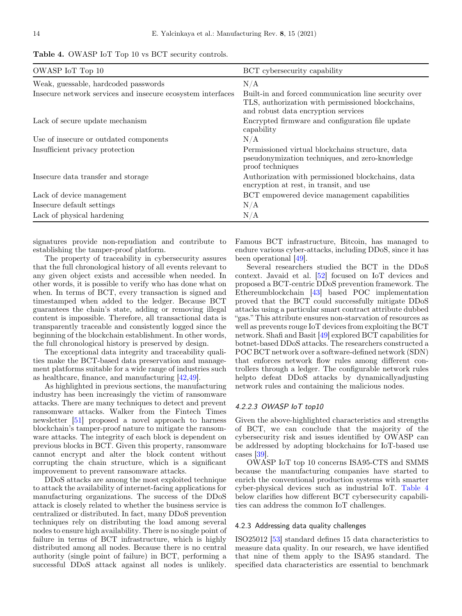| <b>Table 4.</b> OWASP IoT Top 10 vs BCT security controls. |
|------------------------------------------------------------|
|------------------------------------------------------------|

| OWASP IoT Top 10                                            | BCT cybersecurity capability                                                                                                                     |
|-------------------------------------------------------------|--------------------------------------------------------------------------------------------------------------------------------------------------|
| Weak, guessable, hardcoded passwords                        | N/A                                                                                                                                              |
| Insecure network services and insecure ecosystem interfaces | Built-in and forced communication line security over<br>TLS, authorization with permissioned blockchains,<br>and robust data encryption services |
| Lack of secure update mechanism                             | Encrypted firmware and configuration file update<br>capability                                                                                   |
| Use of insecure or outdated components                      | N/A                                                                                                                                              |
| Insufficient privacy protection                             | Permissioned virtual blockchains structure, data<br>pseudonymization techniques, and zero-knowledge<br>proof techniques                          |
| Insecure data transfer and storage                          | Authorization with permissioned blockchains, data<br>encryption at rest, in transit, and use                                                     |
| Lack of device management                                   | BCT empowered device management capabilities                                                                                                     |
| Insecure default settings                                   | N/A                                                                                                                                              |
| Lack of physical hardening                                  | N/A                                                                                                                                              |

signatures provide non-repudiation and contribute to establishing the tamper-proof platform.

The property of traceability in cybersecurity assures that the full chronological history of all events relevant to any given object exists and accessible when needed. In other words, it is possible to verify who has done what on when. In terms of BCT, every transaction is signed and timestamped when added to the ledger. Because BCT guarantees the chain's state, adding or removing illegal content is impossible. Therefore, all transactional data is transparently traceable and consistently logged since the beginning of the blockchain establishment. In other words, the full chronological history is preserved by design.

The exceptional data integrity and traceability qualities make the BCT-based data preservation and management platforms suitable for a wide range of industries such as healthcare, finance, and manufacturing [[42,49\]](#page-18-0).

As highlighted in previous sections, the manufacturing industry has been increasingly the victim of ransomware attacks. There are many techniques to detect and prevent ransomware attacks. Walker from the Fintech Times newsletter [[51\]](#page-18-0) proposed a novel approach to harness blockchain's tamper-proof nature to mitigate the ransomware attacks. The integrity of each block is dependent on previous blocks in BCT. Given this property, ransomware cannot encrypt and alter the block content without corrupting the chain structure, which is a significant improvement to prevent ransomware attacks.

DDoS attacks are among the most exploited technique to attack the availability of internet-facing applications for manufacturing organizations. The success of the DDoS attack is closely related to whether the business service is centralized or distributed. In fact, many DDoS prevention techniques rely on distributing the load among several nodes to ensure high availability. There is no single point of failure in terms of BCT infrastructure, which is highly distributed among all nodes. Because there is no central authority (single point of failure) in BCT, performing a successful DDoS attack against all nodes is unlikely.

Famous BCT infrastructure, Bitcoin, has managed to endure various cyber-attacks, including DDoS, since it has been operational [\[49](#page-18-0)].

Several researchers studied the BCT in the DDoS context. Javaid et al. [\[52](#page-18-0)] focused on IoT devices and proposed a BCT-centric DDoS prevention framework. The Ethereumblockchain [[43\]](#page-18-0) based POC implementation proved that the BCT could successfully mitigate DDoS attacks using a particular smart contract attribute dubbed "gas." This attribute ensures non-starvation of resources as well as prevents rouge IoT devices from exploiting the BCT network. Shafi and Basit [[49\]](#page-18-0) explored BCT capabilities for botnet-based DDoS attacks. The researchers constructed a POC BCT network over a software-defined network (SDN) that enforces network flow rules among different controllers through a ledger. The configurable network rules helpto defeat DDoS attacks by dynamicallyadjusting network rules and containing the malicious nodes.

## 4.2.2.3 OWASP IoT top10

Given the above-highlighted characteristics and strengths of BCT, we can conclude that the majority of the cybersecurity risk and issues identified by OWASP can be addressed by adopting blockchains for IoT-based use cases [\[39](#page-18-0)].

OWASP IoT top 10 concerns ISA95-CTS and SMMS because the manufacturing companies have started to enrich the conventional production systems with smarter cyber-physical devices such as industrial IoT. Table 4 below clarifies how different BCT cybersecurity capabilities can address the common IoT challenges.

#### 4.2.3 Addressing data quality challenges

ISO25012 [\[53](#page-18-0)] standard defines 15 data characteristics to measure data quality. In our research, we have identified that nine of them apply to the ISA95 standard. The specified data characteristics are essential to benchmark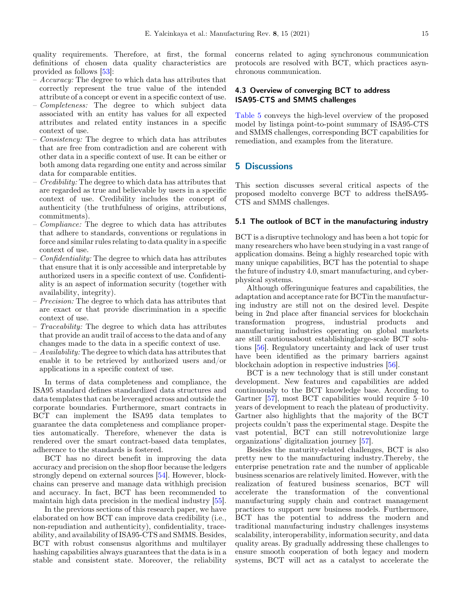<span id="page-14-0"></span>quality requirements. Therefore, at first, the formal definitions of chosen data quality characteristics are provided as follows [[53\]](#page-18-0):

- $-$  Accuracy: The degree to which data has attributes that correctly represent the true value of the intended attribute of a concept or event in a specific context of use.
- Completeness: The degree to which subject data associated with an entity has values for all expected attributes and related entity instances in a specific context of use.
- Consistency: The degree to which data has attributes that are free from contradiction and are coherent with other data in a specific context of use. It can be either or both among data regarding one entity and across similar data for comparable entities.
- Credibility: The degree to which data has attributes that are regarded as true and believable by users in a specific context of use. Credibility includes the concept of authenticity (the truthfulness of origins, attributions, commitments).
- Compliance: The degree to which data has attributes that adhere to standards, conventions or regulations in force and similar rules relating to data quality in a specific context of use.
- $\sim$  Confidentiality: The degree to which data has attributes that ensure that it is only accessible and interpretable by authorized users in a specific context of use. Confidentiality is an aspect of information security (together with availability, integrity).
- Precision: The degree to which data has attributes that are exact or that provide discrimination in a specific context of use.
- Traceability: The degree to which data has attributes that provide an audit trail of access to the data and of any changes made to the data in a specific context of use.
- $-A\text{validability}$ : The degree to which data has attributes that enable it to be retrieved by authorized users and/or applications in a specific context of use.

In terms of data completeness and compliance, the ISA95 standard defines standardized data structures and data templates that can be leveraged across and outside the corporate boundaries. Furthermore, smart contracts in BCT can implement the ISA95 data templates to guarantee the data completeness and compliance properties automatically. Therefore, whenever the data is rendered over the smart contract-based data templates, adherence to the standards is fostered.

BCT has no direct benefit in improving the data accuracy and precision on the shop floor because the ledgers strongly depend on external sources [[54\]](#page-18-0). However, blockchains can preserve and manage data withhigh precision and accuracy. In fact, BCT has been recommended to maintain high data precision in the medical industry [\[55](#page-18-0)].

In the previous sections of this research paper, we have elaborated on how BCT can improve data credibility (i.e., non-repudiation and authenticity), confidentiality, traceability, and availability of ISA95-CTS and SMMS. Besides, BCT with robust consensus algorithms and multilayer hashing capabilities always guarantees that the data is in a stable and consistent state. Moreover, the reliability concerns related to aging synchronous communication protocols are resolved with BCT, which practices asynchronous communication.

## 4.3 Overview of converging BCT to address ISA95-CTS and SMMS challenges

[Table 5](#page-15-0) conveys the high-level overview of the proposed model by listinga point-to-point summary of ISA95-CTS and SMMS challenges, corresponding BCT capabilities for remediation, and examples from the literature.

## 5 Discussions

This section discusses several critical aspects of the proposed modelto converge BCT to address theISA95- CTS and SMMS challenges.

#### 5.1 The outlook of BCT in the manufacturing industry

BCT is a disruptive technology and has been a hot topic for many researchers who have been studying in a vast range of application domains. Being a highly researched topic with many unique capabilities, BCT has the potential to shape the future of industry 4.0, smart manufacturing, and cyberphysical systems.

Although offeringunique features and capabilities, the adaptation and acceptance rate for BCTin the manufacturing industry are still not on the desired level. Despite being in 2nd place after financial services for blockchain transformation progress, industrial products and manufacturing industries operating on global markets are still cautiousabout establishinglarge-scale BCT solutions [\[56](#page-19-0)]. Regulatory uncertainty and lack of user trust have been identified as the primary barriers against blockchain adoption in respective industries [\[56](#page-19-0)].

BCT is a new technology that is still under constant development. New features and capabilities are added continuously to the BCT knowledge base. According to Gartner [[57\]](#page-19-0), most BCT capabilities would require 5–10 years of development to reach the plateau of productivity. Gartner also highlights that the majority of the BCT projects couldn't pass the experimental stage. Despite the vast potential, BCT can still notrevolutionize large organizations' digitalization journey [\[57\]](#page-19-0).

Besides the maturity-related challenges, BCT is also pretty new to the manufacturing industry.Thereby, the enterprise penetration rate and the number of applicable business scenarios are relatively limited. However, with the realization of featured business scenarios, BCT will accelerate the transformation of the conventional manufacturing supply chain and contract management practices to support new business models. Furthermore, BCT has the potential to address the modern and traditional manufacturing industry challenges insystems scalability, interoperability, information security, and data quality areas. By gradually addressing these challenges to ensure smooth cooperation of both legacy and modern systems, BCT will act as a catalyst to accelerate the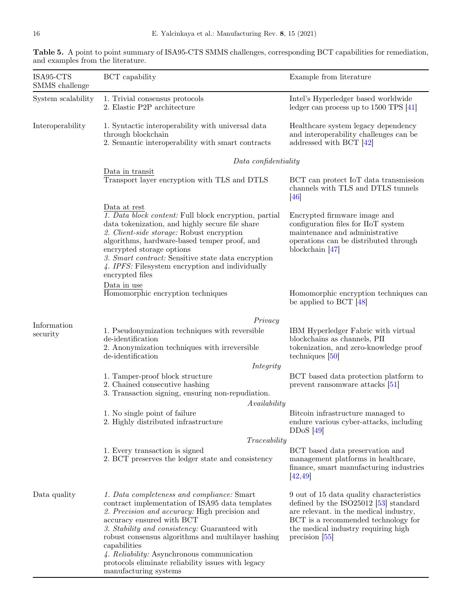| ISA95-CTS<br>SMMS challenge | BCT capability                                                                                                                                                                                                                                                                                                                                                                                                                  | Example from literature                                                                                                                                                                                                          |  |  |  |
|-----------------------------|---------------------------------------------------------------------------------------------------------------------------------------------------------------------------------------------------------------------------------------------------------------------------------------------------------------------------------------------------------------------------------------------------------------------------------|----------------------------------------------------------------------------------------------------------------------------------------------------------------------------------------------------------------------------------|--|--|--|
| System scalability          | 1. Trivial consensus protocols<br>2. Elastic P2P architecture                                                                                                                                                                                                                                                                                                                                                                   | Intel's Hyperledger based worldwide<br>ledger can process up to $1500$ TPS $[41]$                                                                                                                                                |  |  |  |
| Interoperability            | 1. Syntactic interoperability with universal data<br>through blockchain<br>2. Semantic interoperability with smart contracts                                                                                                                                                                                                                                                                                                    | Healthcare system legacy dependency<br>and interoperability challenges can be<br>addressed with BCT $[42]$                                                                                                                       |  |  |  |
|                             | Data confidentiality                                                                                                                                                                                                                                                                                                                                                                                                            |                                                                                                                                                                                                                                  |  |  |  |
|                             | Data in transit<br>Transport layer encryption with TLS and DTLS                                                                                                                                                                                                                                                                                                                                                                 | BCT can protect IoT data transmission<br>channels with TLS and DTLS tunnels<br>$\left[46\right]$                                                                                                                                 |  |  |  |
|                             | Data at rest<br>1. Data block content: Full block encryption, partial<br>data tokenization, and highly secure file share<br>2. Client-side storage: Robust encryption<br>algorithms, hardware-based temper proof, and<br>encrypted storage options<br>3. Smart contract: Sensitive state data encryption<br>4. IPFS: Filesystem encryption and individually<br>encrypted files                                                  | Encrypted firmware image and<br>configuration files for IIoT system<br>maintenance and administrative<br>operations can be distributed through<br>blockchain $[47]$                                                              |  |  |  |
|                             | Data in use<br>Homomorphic encryption techniques                                                                                                                                                                                                                                                                                                                                                                                | Homomorphic encryption techniques can<br>be applied to BCT $[48]$                                                                                                                                                                |  |  |  |
|                             | Privacy                                                                                                                                                                                                                                                                                                                                                                                                                         |                                                                                                                                                                                                                                  |  |  |  |
| Information<br>security     | 1. Pseudonymization techniques with reversible<br>de-identification<br>2. Anonymization techniques with irreversible<br>de-identification                                                                                                                                                                                                                                                                                       | IBM Hyperledger Fabric with virtual<br>blockchains as channels, PII<br>tokenization, and zero-knowledge proof<br>techniques $[50]$                                                                                               |  |  |  |
|                             | Integrity                                                                                                                                                                                                                                                                                                                                                                                                                       |                                                                                                                                                                                                                                  |  |  |  |
|                             | 1. Tamper-proof block structure<br>2. Chained consecutive hashing<br>3. Transaction signing, ensuring non-repudiation.<br>Availability                                                                                                                                                                                                                                                                                          | BCT based data protection platform to<br>prevent ransomware attacks [51]                                                                                                                                                         |  |  |  |
|                             | 1. No single point of failure<br>2. Highly distributed infrastructure                                                                                                                                                                                                                                                                                                                                                           | Bitcoin infrastructure managed to<br>endure various cyber-attacks, including<br>$DDoS$ [49]                                                                                                                                      |  |  |  |
|                             | Traceability                                                                                                                                                                                                                                                                                                                                                                                                                    |                                                                                                                                                                                                                                  |  |  |  |
|                             | 1. Every transaction is signed<br>2. BCT preserves the ledger state and consistency                                                                                                                                                                                                                                                                                                                                             | BCT based data preservation and<br>management platforms in healthcare,<br>finance, smart manufacturing industries<br>[42, 49]                                                                                                    |  |  |  |
| Data quality                | 1. Data completeness and compliance: Smart<br>contract implementation of ISA95 data templates<br>2. Precision and accuracy: High precision and<br>accuracy ensured with BCT<br>3. Stability and consistency: Guaranteed with<br>robust consensus algorithms and multilayer hashing<br>capabilities<br>4. Reliability: Asynchronous communication<br>protocols eliminate reliability issues with legacy<br>manufacturing systems | 9 out of 15 data quality characteristics<br>defined by the ISO $25012$ [53] standard<br>are relevant. in the medical industry,<br>BCT is a recommended technology for<br>the medical industry requiring high<br>precision $ 55 $ |  |  |  |

<span id="page-15-0"></span>Table 5. A point to point summary of ISA95-CTS SMMS challenges, corresponding BCT capabilities for remediation, and examples from the literature.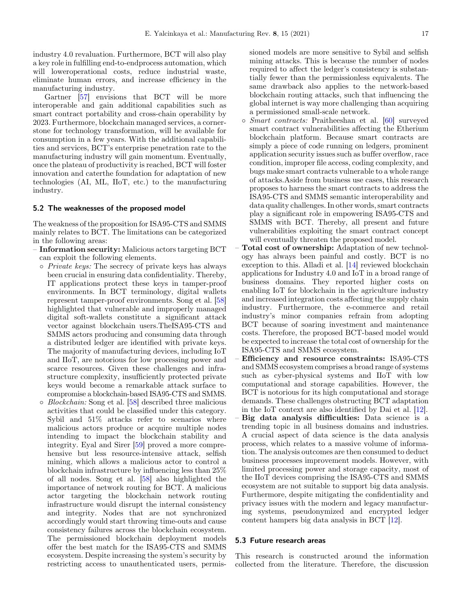<span id="page-16-0"></span>industry 4.0 revaluation. Furthermore, BCT will also play a key role in fulfilling end-to-endprocess automation, which will loweroperational costs, reduce industrial waste, eliminate human errors, and increase efficiency in the manufacturing industry.

Gartner [\[57\]](#page-19-0) envisions that BCT will be more interoperable and gain additional capabilities such as smart contract portability and cross-chain operability by 2023. Furthermore, blockchain managed services, a cornerstone for technology transformation, will be available for consumption in a few years. With the additional capabilities and services, BCT's enterprise penetration rate to the manufacturing industry will gain momentum. Eventually, once the plateau of productivity is reached, BCT will foster innovation and caterthe foundation for adaptation of new technologies (AI, ML, IIoT, etc.) to the manufacturing industry.

#### 5.2 The weaknesses of the proposed model

The weakness of the proposition for ISA95-CTS and SMMS mainly relates to BCT. The limitations can be categorized in the following areas:

- Information security: Malicious actors targeting BCT can exploit the following elements.
	- Private keys: The secrecy of private keys has always been crucial in ensuring data confidentiality. Thereby, IT applications protect these keys in tamper-proof environments. In BCT terminology, digital wallets represent tamper-proof environments. Song et al. [\[58](#page-19-0)] highlighted that vulnerable and improperly managed digital soft-wallets constitute a significant attack vector against blockchain users.TheISA95-CTS and SMMS actors producing and consuming data through a distributed ledger are identified with private keys. The majority of manufacturing devices, including IoT and IIoT, are notorious for low processing power and scarce resources. Given these challenges and infrastructure complexity, insufficiently protected private keys would become a remarkable attack surface to compromise a blockchain-based ISA95-CTS and SMMS.
	- $\circ$  *Blockchain:* Song et al. [[58\]](#page-19-0) described three malicious activities that could be classified under this category. Sybil and 51% attacks refer to scenarios where malicious actors produce or acquire multiple nodes intending to impact the blockchain stability and integrity. Eyal and Sirer [\[59](#page-19-0)] proved a more comprehensive but less resource-intensive attack, selfish mining, which allows a malicious actor to control a blockchain infrastructure by influencing less than 25% of all nodes. Song et al. [\[58](#page-19-0)] also highlighted the importance of network routing for BCT. A malicious actor targeting the blockchain network routing infrastructure would disrupt the internal consistency and integrity. Nodes that are not synchronized accordingly would start throwing time-outs and cause consistency failures across the blockchain ecosystem. The permissioned blockchain deployment models offer the best match for the ISA95-CTS and SMMS ecosystem. Despite increasing the system's security by restricting access to unauthenticated users, permis-

sioned models are more sensitive to Sybil and selfish mining attacks. This is because the number of nodes required to affect the ledger's consistency is substantially fewer than the permissionless equivalents. The same drawback also applies to the network-based blockchain routing attacks, such that influencing the global internet is way more challenging than acquiring a permissioned small-scale network.

- Smart contracts: Praitheeshan et al. [\[60](#page-19-0)] surveyed smart contract vulnerabilities affecting the Etherium blockchain platform. Because smart contracts are simply a piece of code running on ledgers, prominent application security issues such as buffer overflow, race condition, improper file access, coding complexity, and bugs make smart contracts vulnerable to a whole range of attacks.Aside from business use cases, this research proposes to harness the smart contracts to address the ISA95-CTS and SMMS semantic interoperability and data quality challenges. In other words, smart contracts play a significant role in empowering ISA95-CTS and SMMS with BCT. Thereby, all present and future vulnerabilities exploiting the smart contract concept will eventually threaten the proposed model.
- Total cost of ownership: Adaptation of new technology has always been painful and costly. BCT is no exception to this. Alladi et al. [\[14](#page-17-0)] reviewed blockchain applications for Industry 4.0 and IoT in a broad range of business domains. They reported higher costs on enabling IoT for blockchain in the agriculture industry and increased integration costs affecting the supply chain industry. Furthermore, the e-commerce and retail industry's minor companies refrain from adopting BCT because of soaring investment and maintenance costs. Therefore, the proposed BCT-based model would be expected to increase the total cost of ownership for the ISA95-CTS and SMMS ecosystem.
- Efficiency and resource constraints: ISA95-CTS and SMMS ecosystem comprises a broad range of systems such as cyber-physical systems and IIoT with low computational and storage capabilities. However, the BCT is notorious for its high computational and storage demands. These challenges obstructing BCT adaptation in the IoT context are also identified by Dai et al. [\[12](#page-17-0)].
- Big data analysis difficulties: Data science is a trending topic in all business domains and industries. A crucial aspect of data science is the data analysis process, which relates to a massive volume of information. The analysis outcomes are then consumed to deduct business processes improvement models. However, with limited processing power and storage capacity, most of the IIoT devices comprising the ISA95-CTS and SMMS ecosystem are not suitable to support big data analysis. Furthermore, despite mitigating the confidentiality and privacy issues with the modern and legacy manufacturing systems, pseudonymized and encrypted ledger content hampers big data analysis in BCT [\[12](#page-17-0)].

#### 5.3 Future research areas

This research is constructed around the information collected from the literature. Therefore, the discussion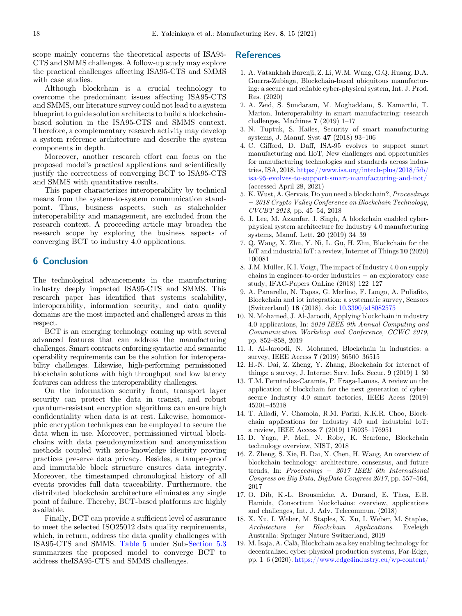<span id="page-17-0"></span>scope mainly concerns the theoretical aspects of ISA95- CTS and SMMS challenges. A follow-up study may explore the practical challenges affecting ISA95-CTS and SMMS with case studies.

Although blockchain is a crucial technology to overcome the predominant issues affecting ISA95-CTS and SMMS, our literature survey could not lead to a system blueprint to guide solution architects to build a blockchainbased solution in the ISA95-CTS and SMMS context. Therefore, a complementary research activity may develop a system reference architecture and describe the system components in depth.

Moreover, another research effort can focus on the proposed model's practical applications and scientifically justify the correctness of converging BCT to ISA95-CTS and SMMS with quantitative results.

This paper characterizes interoperability by technical means from the system-to-system communication standpoint. Thus, business aspects, such as stakeholder interoperability and management, are excluded from the research context. A proceeding article may broaden the research scope by exploring the business aspects of converging BCT to industry 4.0 applications.

## 6 Conclusion

The technological advancements in the manufacturing industry deeply impacted ISA95-CTS and SMMS. This research paper has identified that systems scalability, interoperability, information security, and data quality domains are the most impacted and challenged areas in this respect.

BCT is an emerging technology coming up with several advanced features that can address the manufacturing challenges. Smart contracts enforcing syntactic and semantic operability requirements can be the solution for interoperability challenges. Likewise, high-performing permissioned blockchain solutions with high throughput and low latency features can address the interoperability challenges.

On the information security front, transport layer security can protect the data in transit, and robust quantum-resistant encryption algorithms can ensure high confidentiality when data is at rest. Likewise, homomorphic encryption techniques can be employed to secure the data when in use. Moreover, permissioned virtual blockchains with data pseudonymization and anonymization methods coupled with zero-knowledge identity proving practices preserve data privacy. Besides, a tamper-proof and immutable block structure ensures data integrity. Moreover, the timestamped chronological history of all events provides full data traceability. Furthermore, the distributed blockchain architecture eliminates any single point of failure. Thereby, BCT-based platforms are highly available.

Finally, BCT can provide a sufficient level of assurance to meet the selected ISO25012 data quality requirements, which, in return, address the data quality challenges with ISA95-CTS and SMMS. [Table 5](#page-15-0) under Sub[-Section 5.3](#page-16-0) summarizes the proposed model to converge BCT to address theISA95-CTS and SMMS challenges.

## References

- 1. A. Vatankhah Barenji, Z. Li, W.M. Wang, G.Q. Huang, D.A. Guerra-Zubiaga, Blockchain-based ubiquitous manufacturing: a secure and reliable cyber-physical system, Int. J. Prod. Res. (2020)
- 2. A. Zeid, S. Sundaram, M. Moghaddam, S. Kamarthi, T. Marion, Interoperability in smart manufacturing: research challenges, Machines 7 (2019) 1–17
- 3. N. Tuptuk, S. Hailes, Security of smart manufacturing systems, J. Manuf. Syst 47 (2018) 93–106
- 4. C. Gifford, D. Daff, ISA-95 evolves to support smart manufacturing and IIoT, New challenges and opportunities for manufacturing technologies and standards across industries, ISA, 2018. [https://www.isa.org/intech-plus/2018/feb/](https://www.isa.org/intech-plus/2018/feb/isa-95-evolves-to-support-smart-manufacturing-and-iiot/) [isa-95-evolves-to-support-smart-manufacturing-and-iiot/](https://www.isa.org/intech-plus/2018/feb/isa-95-evolves-to-support-smart-manufacturing-and-iiot/) (accessed April 28, 2021)
- 5. K. Wust, A. Gervais, Do you need a blockchain?, Proceedings 2018 Crypto Valley Conference on Blockchain Technology, CVCBT 2018, pp. 45–54, 2018
- 6. J. Lee, M. Azamfar, J. Singh, A blockchain enabled cyberphysical system architecture for Industry 4.0 manufacturing systems, Manuf. Lett. 20 (2019) 34–39
- 7. Q. Wang, X. Zhu, Y. Ni, L. Gu, H. Zhu, Blockchain for the IoT and industrial IoT: a review, Internet of Things 10 (2020) 100081
- 8. J.M. Müller, K.I. Voigt, The impact of Industry 4.0 on supply  $chains in engineer-to-order industries - an exploratory case$ study, IFAC-Papers OnLine (2018) 122–127
- 9. A. Panarello, N. Tapas, G. Merlino, F. Longo, A. Puliafito, Blockchain and iot integration: a systematic survey, Sensors (Switzerland) 18 (2018). doi: [10.3390/s18082575](https://doi.org/10.3390/s18082575.)
- 10. N. Mohamed, J. Al-Jaroodi, Applying blockchain in industry 4.0 applications, In: 2019 IEEE 9th Annual Computing and Communication Workshop and Conference, CCWC 2019, pp. 852–858, 2019
- 11. J. Al-Jaroodi, N. Mohamed, Blockchain in industries: a survey, IEEE Access 7 (2019) 36500–36515
- 12. H.-N. Dai, Z. Zheng, Y. Zhang, Blockchain for internet of things: a survey, J. Internet Serv. Info. Secur. 9 (2019) 1–30
- 13. T.M. Fernández-Caramés, P. Fraga-Lamas, A review on the application of blockchain for the next generation of cybersecure Industry 4.0 smart factories, IEEE Acess (2019) 45201–45218
- 14. T. Alladi, V. Chamola, R.M. Parizi, K.K.R. Choo, Blockchain applications for Industry 4.0 and industrial IoT: a review, IEEE Access 7 (2019) 176935–176951
- 15. D. Yaga, P. Mell, N. Roby, K. Scarfone, Blockchain technology overview, NIST, 2018
- 16. Z. Zheng, S. Xie, H. Dai, X. Chen, H. Wang, An overview of blockchain technology: architecture, consensus, and future trends, In: Proceedings - 2017 IEEE 6th International Congress on Big Data, BigData Congress 2017, pp. 557–564, 2017
- 17. O. Dib, K.-L. Brousmiche, A. Durand, E. Thea, E.B. Hamida, Consortium blockchains: overview, applications and challenges, Int. J. Adv. Telecommun. (2018)
- 18. X. Xu, I. Weber, M. Staples, X. Xu, I. Weber, M. Staples, Architecture for Blockchain Applications. Eveleigh Australia: Springer Nature Switzerland, 2019
- 19. M. Isaja, A. Calà, Blockchain as a key enabling technology for decentralized cyber-physical production systems, Far-Edge, pp. 1–6 (2020). [https://www.edge4industry.eu/wp-content/](https://www.edge4industry.eu/wp-content/uploads/2018/11/Blockchain-as-a-Key-Enabling-Technology-for-Decentralized-CPPS.pdf)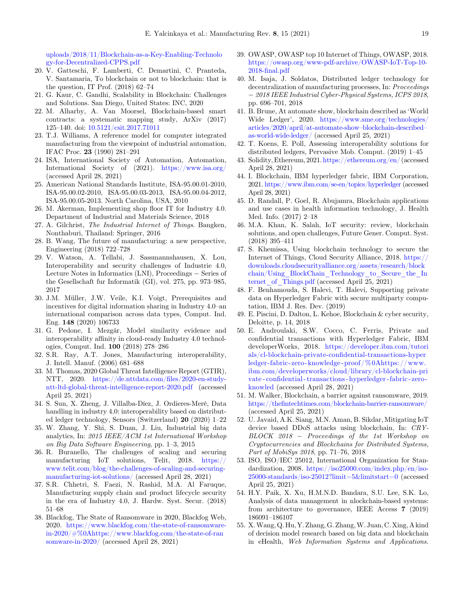<span id="page-18-0"></span>[uploads/2018/11/Blockchain-as-a-Key-Enabling-Technolo](https://www.edge4industry.eu/wp-content/uploads/2018/11/Blockchain-as-a-Key-Enabling-Technology-for-Decentralized-CPPS.pdf) [gy-for-Decentralized-CPPS.pdf](https://www.edge4industry.eu/wp-content/uploads/2018/11/Blockchain-as-a-Key-Enabling-Technology-for-Decentralized-CPPS.pdf)

- 20. V. Gatteschi, F. Lamberti, C. Demartini, C. Pranteda, V. Santamaria, To blockchain or not to blockchain: that is the question, IT Prof.  $(2018)$  62–74
- 21. G. Kaur, C. Gandhi, Scalability in Blockchain: Challenges and Solutions. San Diego, United States: INC, 2020
- 22. M. Alharby, A. Van Moorsel, Blockchain-based smart contracts: a systematic mapping study, ArXiv (2017) 125–140. doi: [10.5121/csit.2017.71011](https://doi.org/10.5121/csit.2017.71011.)
- 23. T.J. Williams, A reference model for computer integrated manufacturing from the viewpoint of industrial automation, IFAC Proc. 23 (1990) 281–291
- 24. ISA, International Society of Automation, Automation, International Society of (2021). <https://www.isa.org/> (accessed April 28, 2021)
- 25. American National Standards Institute, ISA-95.00.01-2010, ISA-95.00.02-2010, ISA-95.00.03-2013, ISA-95.00.04-2012, ISA-95.00.05-2013. North Carolina, USA, 2010
- 26. M. A kerman, Implementing shop floor IT for Industry 4.0. Department of Industrial and Materials Science, 2018
- 27. A. Gilchrist, The Industrial Internet of Things. Bangken, Nonthaburi, Thailand: Springer, 2016
- 28. B. Wang, The future of manufacturing: a new perspective, Engineering (2018) 722–728
- 29. V. Watson, A. Tellabi, J. Sassmannshausen, X. Lou, Interoperability and security challenges of Industrie 4.0, Lecture Notes in Informatics  $(LNI)$ , Proceedings  $-$  Series of the Gesellschaft fur Informatik (GI), vol. 275, pp. 973–985, 2017
- 30. J.M. Müller, J.W. Veile, K.I. Voigt, Prerequisites and incentives for digital information sharing in Industry 4.0–an international comparison across data types, Comput. Ind. Eng. 148 (2020) 106733
- 31. G. Pedone, I. Mezgár, Model similarity evidence and interoperability affinity in cloud-ready Industry 4.0 technologies, Comput. Ind. 100 (2018) 278–286
- 32. S.R. Ray, A.T. Jones, Manufacturing interoperability, J. Intell. Manuf. (2006) 681–688
- 33. M. Thomas, 2020 Global Threat Intelligence Report (GTIR), NTT, 2020. [https://de.nttdata.com/](https://de.nttdata.com/files/2020-en-study-ntt-ltd-global-threat-intelligence-report-2020.pdf)files/2020-en-study[ntt-ltd-global-threat-intelligence-report-2020.pdf](https://de.nttdata.com/files/2020-en-study-ntt-ltd-global-threat-intelligence-report-2020.pdf) (accessed April 25, 2021)
- 34. S. Sun, X. Zheng, J. Villalba-Díez, J. Ordieres-Meré, Data handling in industry 4.0: interoperability based on distributed ledger technology, Sensors (Switzerland) 20 (2020) 1–22
- 35. W. Zhang, Y. Shi, S. Duan, J. Liu, Industrial big data analytics, In: 2015 IEEE/ACM 1st International Workshop on Big Data Software Engineering, pp. 1–3, 2015
- 36. R. Buranello, The challenges of scaling and securing manufacturing IoT solutions, Telit, 2018. [https://](https://www.telit.com/blog/the-challenges-of-scaling-and-securing-manufacturing-iot-solutions/) [www.telit.com/blog/the-challenges-of-scaling-and-securing](https://www.telit.com/blog/the-challenges-of-scaling-and-securing-manufacturing-iot-solutions/)[manufacturing-iot-solutions/](https://www.telit.com/blog/the-challenges-of-scaling-and-securing-manufacturing-iot-solutions/) (accessed April 28, 2021)
- 37. S.R. Chhetri, S. Faezi, N. Rashid, M.A. Al Faruque, Manufacturing supply chain and product lifecycle security in the era of Industry 4.0, J. Hardw. Syst. Secur. (2018) 51–68
- 38. Blackfog, The State of Ransomware in 2020, Blackfog Web, 2020. [https://www.blackfog.com/the-state-of-ransomware](https://www.blackfog.com/the-state-of-ransomware-in-2020/#%0Ahttps://www.blackfog.com/the-state-of-ransomware-in-2020/)[in-2020/#%0Ahttps://www.blackfog.com/the-state-of-ran](https://www.blackfog.com/the-state-of-ransomware-in-2020/#%0Ahttps://www.blackfog.com/the-state-of-ransomware-in-2020/) [somware-in-2020/](https://www.blackfog.com/the-state-of-ransomware-in-2020/#%0Ahttps://www.blackfog.com/the-state-of-ransomware-in-2020/) (accessed April 28, 2021)
- 39. OWASP, OWASP top 10 Internet of Things, OWASP, 2018. [https://owasp.org/www-pdf-archive/OWASP-IoT-Top-10-](https://owasp.org/www-pdf-archive/OWASP-IoT-Top-10-2018-final.pdf) 2018-fi[nal.pdf](https://owasp.org/www-pdf-archive/OWASP-IoT-Top-10-2018-final.pdf)
- 40. M. Isaja, J. Soldatos, Distributed ledger technology for decentralization of manufacturing processes, In: Proceedings 2018 IEEE Industrial Cyber-Physical Systems, ICPS 2018, pp. 696–701, 2018
- 41. B. Brune, At automate show, blockchain described as 'World Wide Ledger', 2020. [https://www.sme.org/technologies/](https://www.sme.org/technologies/articles/2020/april/at-automate-show&x2013;blockchain-described&x2013;as-world-wide-ledger/) [articles/2020/april/at-automate-show](https://www.sme.org/technologies/articles/2020/april/at-automate-show&x2013;blockchain-described&x2013;as-world-wide-ledger/)–blockchain-described– [as-world-wide-ledger/](https://www.sme.org/technologies/articles/2020/april/at-automate-show&x2013;blockchain-described&x2013;as-world-wide-ledger/) (accessed April 25, 2021)
- 42. T. Koens, E. Poll, Assessing interoperability solutions for distributed ledgers, Pervasive Mob. Comput. (2019) 1–45
- 43. Solidity,Ethereum, 2021.<https://ethereum.org/en/>(accessed April 28, 2021)
- 44. I. Blockchain, IBM hyperledger fabric, IBM Corporation, 2021. <https://www.ibm.com/se-en/topics/hyperledger> (accessed April 28, 2021)
- 45. D. Randall, P. Goel, R. Abujamra, Blockchain applications and use cases in health information technology, J. Health Med. Info. (2017) 2–18
- 46. M.A. Khan, K. Salah, IoT security: review, blockchain solutions, and open challenges, Future Gener. Comput. Syst. (2018) 395–411
- 47. S. Khemissa, Using blockchain technology to secure the Internet of Things, Cloud Security Alliance, 2018. [https://](https://downloads.cloudsecurityalliance.org/assets/research/blockchain/Using_BlockChain_Technology_to_Secure_the_Internet_of_Things.pdf) [downloads.cloudsecurityalliance.org/assets/research/block](https://downloads.cloudsecurityalliance.org/assets/research/blockchain/Using_BlockChain_Technology_to_Secure_the_Internet_of_Things.pdf) [chain/Using\\_BlockChain\\_Technology\\_to\\_Secure\\_the\\_In](https://downloads.cloudsecurityalliance.org/assets/research/blockchain/Using_BlockChain_Technology_to_Secure_the_Internet_of_Things.pdf) ternet of Things.pdf (accessed April 25, 2021)
- 48. F. Benhamouda, S. Halevi, T. Halevi, Supporting private data on Hyperledger Fabric with secure multiparty computation, IBM J. Res. Dev. (2019)
- 49. E. Piscini, D. Dalton, L. Kehoe, Blockchain & cyber security, Deloitte, p. 14, 2018
- 50. E. Androulaki, S.W. Cocco, C. Ferris, Private and confidential transactions with Hyperledger Fabric, IBM developerWorks, 2018. [https://developer.ibm.com/tutori](https://developer.ibm.com/tutorials/cl-blockchain-private-confidential-transactions-hyperledger-fabric-zero-knowledge-proof/%0Ahttps://www.ibm.com/developerworks/cloud/library/cl-blockchain-private-confidential-transactions-hyperledger-fabric-zero-knowled) [als/cl-blockchain-private-con](https://developer.ibm.com/tutorials/cl-blockchain-private-confidential-transactions-hyperledger-fabric-zero-knowledge-proof/%0Ahttps://www.ibm.com/developerworks/cloud/library/cl-blockchain-private-confidential-transactions-hyperledger-fabric-zero-knowled)fidential-transactions-hyper [ledger-fabric-zero -knowledge -proof/%0Ahttps: //www.](https://developer.ibm.com/tutorials/cl-blockchain-private-confidential-transactions-hyperledger-fabric-zero-knowledge-proof/%0Ahttps://www.ibm.com/developerworks/cloud/library/cl-blockchain-private-confidential-transactions-hyperledger-fabric-zero-knowled) [ibm.com/developerworks/cloud/library/cl-blockchain-pri](https://developer.ibm.com/tutorials/cl-blockchain-private-confidential-transactions-hyperledger-fabric-zero-knowledge-proof/%0Ahttps://www.ibm.com/developerworks/cloud/library/cl-blockchain-private-confidential-transactions-hyperledger-fabric-zero-knowled) vate - confi[dential - transactions -hyperledger - fabric -zero](https://developer.ibm.com/tutorials/cl-blockchain-private-confidential-transactions-hyperledger-fabric-zero-knowledge-proof/%0Ahttps://www.ibm.com/developerworks/cloud/library/cl-blockchain-private-confidential-transactions-hyperledger-fabric-zero-knowled)  [knowled](https://developer.ibm.com/tutorials/cl-blockchain-private-confidential-transactions-hyperledger-fabric-zero-knowledge-proof/%0Ahttps://www.ibm.com/developerworks/cloud/library/cl-blockchain-private-confidential-transactions-hyperledger-fabric-zero-knowled) (accessed April 28, 2021)
- 51. M. Walker, Blockchain, a barrier against ransomware, 2019. https://thefi[ntechtimes.com/blockchain-barrier-ransomware/](https://thefintechtimes.com/blockchain-barrier-ransomware/) (accessed April 25, 2021)
- 52. U. Javaid, A.K. Siang, M.N. Aman, B. Sikdar, Mitigating IoT device based DDoS attacks using blockchain, In: CRY-BLOCK 2018 Proceedings of the 1st Workshop on Cryptocurrencies and Blockchains for Distributed Systems, Part of MobiSys 2018, pp. 71–76, 2018
- 53. ISO, ISO/IEC 25012, International Organization for Standardization, 2008. [https://iso25000.com/index.php/en/iso-](https://iso25000.com/index.php/en/iso-25000-standards/iso-25012?limit=5&limitstart=0)[25000-standards/iso-25012?limit=5&limitstart=0](https://iso25000.com/index.php/en/iso-25000-standards/iso-25012?limit=5&limitstart=0) (accessed April 25, 2021)
- 54. H.Y. Paik, X. Xu, H.M.N.D. Bandara, S.U. Lee, S.K. Lo, Analysis of data management in nlockchain-based systems: from architecture to governance, IEEE Access 7 (2019) 186091–186107
- 55. X.Wang,Q. Hu, Y. Zhang, G. Zhang,W. Juan, C. Xing, A kind of decision model research based on big data and blockchain in eHealth, Web Information Systems and Applications.